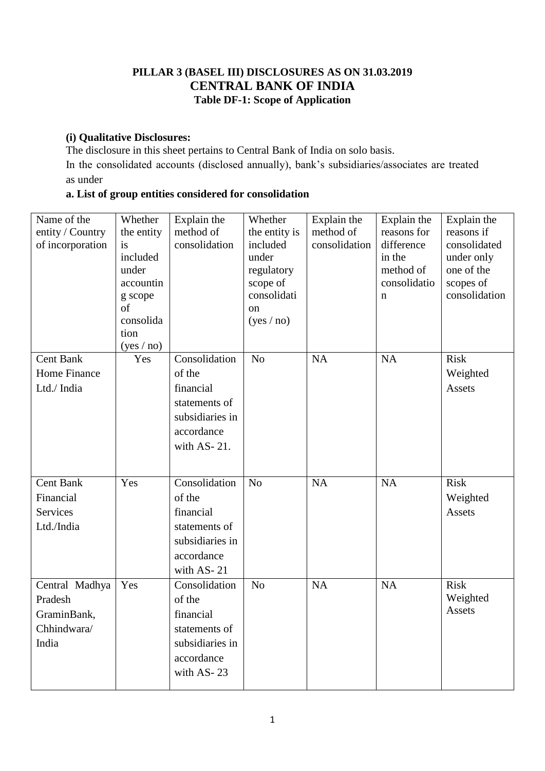## **PILLAR 3 (BASEL III) DISCLOSURES AS ON 31.03.2019 CENTRAL BANK OF INDIA Table DF-1: Scope of Application**

## **(i) Qualitative Disclosures:**

The disclosure in this sheet pertains to Central Bank of India on solo basis. In the consolidated accounts (disclosed annually), bank"s subsidiaries/associates are treated as under

## **a. List of group entities considered for consolidation**

| Name of the<br>entity / Country<br>of incorporation              | Whether<br>the entity<br>is<br>included<br>under<br>accountin<br>g scope<br>of<br>consolida<br>tion<br>(yes / no) | Explain the<br>method of<br>consolidation                                                             | Whether<br>the entity is<br>included<br>under<br>regulatory<br>scope of<br>consolidati<br><sub>on</sub><br>(yes / no) | Explain the<br>method of<br>consolidation | Explain the<br>reasons for<br>difference<br>in the<br>method of<br>consolidatio<br>$\mathbf n$ | Explain the<br>reasons if<br>consolidated<br>under only<br>one of the<br>scopes of<br>consolidation |
|------------------------------------------------------------------|-------------------------------------------------------------------------------------------------------------------|-------------------------------------------------------------------------------------------------------|-----------------------------------------------------------------------------------------------------------------------|-------------------------------------------|------------------------------------------------------------------------------------------------|-----------------------------------------------------------------------------------------------------|
| <b>Cent Bank</b><br>Home Finance<br>Ltd./ India                  | Yes                                                                                                               | Consolidation<br>of the<br>financial<br>statements of<br>subsidiaries in<br>accordance<br>with AS-21. | N <sub>o</sub>                                                                                                        | <b>NA</b>                                 | NA                                                                                             | <b>Risk</b><br>Weighted<br>Assets                                                                   |
| <b>Cent Bank</b><br>Financial<br><b>Services</b><br>Ltd./India   | Yes                                                                                                               | Consolidation<br>of the<br>financial<br>statements of<br>subsidiaries in<br>accordance<br>with AS-21  | N <sub>o</sub>                                                                                                        | NA                                        | NA                                                                                             | <b>Risk</b><br>Weighted<br><b>Assets</b>                                                            |
| Central Madhya<br>Pradesh<br>GraminBank,<br>Chhindwara/<br>India | Yes                                                                                                               | Consolidation<br>of the<br>financial<br>statements of<br>subsidiaries in<br>accordance<br>with AS-23  | $\overline{No}$                                                                                                       | <b>NA</b>                                 | $\overline{NA}$                                                                                | <b>Risk</b><br>Weighted<br><b>Assets</b>                                                            |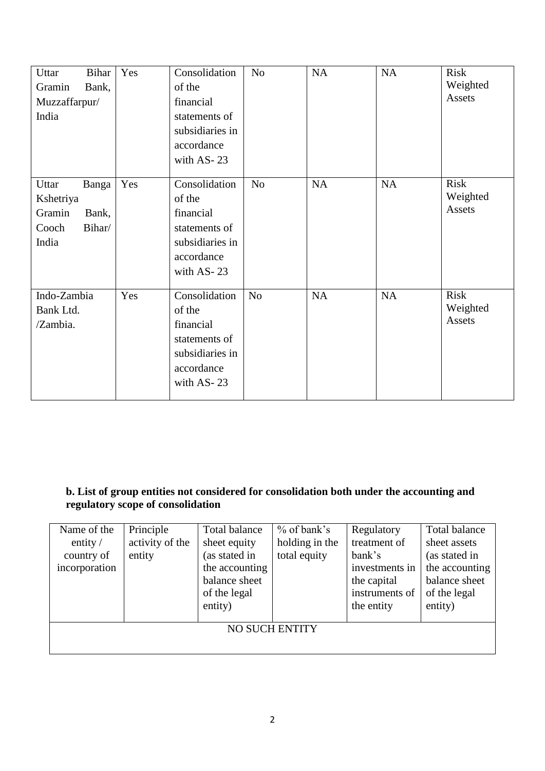| Bihar<br>Uttar<br>Bank,<br>Gramin<br>Muzzaffarpur/<br>India                | Yes | Consolidation<br>of the<br>financial<br>statements of<br>subsidiaries in<br>accordance<br>with AS-23 | N <sub>o</sub> | <b>NA</b> | NA        | <b>Risk</b><br>Weighted<br>Assets |
|----------------------------------------------------------------------------|-----|------------------------------------------------------------------------------------------------------|----------------|-----------|-----------|-----------------------------------|
| Banga<br>Uttar<br>Kshetriya<br>Gramin<br>Bank,<br>Cooch<br>Bihar/<br>India | Yes | Consolidation<br>of the<br>financial<br>statements of<br>subsidiaries in<br>accordance<br>with AS-23 | No             | <b>NA</b> | NA        | Risk<br>Weighted<br>Assets        |
| Indo-Zambia<br>Bank Ltd.<br>/Zambia.                                       | Yes | Consolidation<br>of the<br>financial<br>statements of<br>subsidiaries in<br>accordance<br>with AS-23 | N <sub>o</sub> | <b>NA</b> | <b>NA</b> | Risk<br>Weighted<br>Assets        |

## **b. List of group entities not considered for consolidation both under the accounting and regulatory scope of consolidation**

| Name of the       | Principle       | Total balance  | $%$ of bank's         | Regulatory     | Total balance  |
|-------------------|-----------------|----------------|-----------------------|----------------|----------------|
| entity $\sqrt{ }$ | activity of the | sheet equity   | holding in the        | treatment of   | sheet assets   |
| country of        | entity          | (as stated in  | total equity          | bank's         | (as stated in  |
| incorporation     |                 | the accounting |                       | investments in | the accounting |
|                   |                 | balance sheet  |                       | the capital    | balance sheet  |
|                   |                 | of the legal   |                       | instruments of | of the legal   |
|                   |                 | entity)        |                       | the entity     | entity)        |
|                   |                 |                |                       |                |                |
|                   |                 |                | <b>NO SUCH ENTITY</b> |                |                |
|                   |                 |                |                       |                |                |
|                   |                 |                |                       |                |                |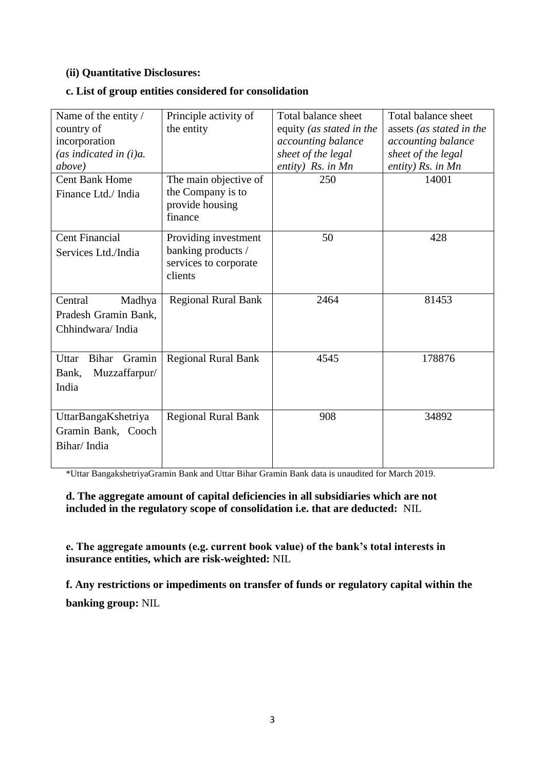#### **(ii) Quantitative Disclosures:**

| Name of the entity /            | Principle activity of                       | Total balance sheet      | Total balance sheet       |
|---------------------------------|---------------------------------------------|--------------------------|---------------------------|
| country of                      | the entity                                  | equity (as stated in the | assets (as stated in the  |
| incorporation                   |                                             | accounting balance       | <i>accounting balance</i> |
| (as indicated in $(i)a$ .       |                                             | sheet of the legal       | sheet of the legal        |
| above)                          |                                             | entity) $Rs.$ in Mn      | entity) $Rs.$ in $Mn$     |
| <b>Cent Bank Home</b>           | The main objective of                       | 250                      | 14001                     |
| Finance Ltd./ India             | the Company is to                           |                          |                           |
|                                 | provide housing                             |                          |                           |
|                                 | finance                                     |                          |                           |
| <b>Cent Financial</b>           |                                             | 50                       | 428                       |
|                                 | Providing investment                        |                          |                           |
| Services Ltd./India             | banking products /<br>services to corporate |                          |                           |
|                                 | clients                                     |                          |                           |
|                                 |                                             |                          |                           |
| Central<br>Madhya               | <b>Regional Rural Bank</b>                  | 2464                     | 81453                     |
| Pradesh Gramin Bank,            |                                             |                          |                           |
| Chhindwara/India                |                                             |                          |                           |
|                                 |                                             |                          |                           |
|                                 |                                             |                          |                           |
| Gramin<br>Uttar<br><b>Bihar</b> | <b>Regional Rural Bank</b>                  | 4545                     | 178876                    |
| Muzzaffarpur/<br>Bank,          |                                             |                          |                           |
| India                           |                                             |                          |                           |
|                                 |                                             |                          |                           |
| UttarBangaKshetriya             | <b>Regional Rural Bank</b>                  | 908                      | 34892                     |
| Gramin Bank, Cooch              |                                             |                          |                           |
| Bihar/India                     |                                             |                          |                           |
|                                 |                                             |                          |                           |
|                                 |                                             |                          |                           |

#### **c. List of group entities considered for consolidation**

\*Uttar BangakshetriyaGramin Bank and Uttar Bihar Gramin Bank data is unaudited for March 2019.

#### **d. The aggregate amount of capital deficiencies in all subsidiaries which are not included in the regulatory scope of consolidation i.e. that are deducted:** NIL

**e. The aggregate amounts (e.g. current book value) of the bank's total interests in insurance entities, which are risk-weighted:** NIL

**f. Any restrictions or impediments on transfer of funds or regulatory capital within the banking group:** NIL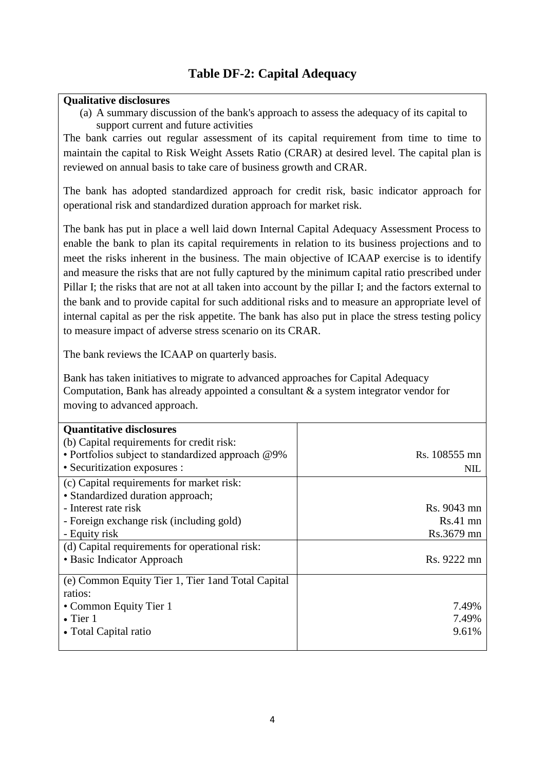## **Table DF-2: Capital Adequacy**

#### **Qualitative disclosures**

(a) A summary discussion of the bank's approach to assess the adequacy of its capital to support current and future activities

The bank carries out regular assessment of its capital requirement from time to time to maintain the capital to Risk Weight Assets Ratio (CRAR) at desired level. The capital plan is reviewed on annual basis to take care of business growth and CRAR.

The bank has adopted standardized approach for credit risk, basic indicator approach for operational risk and standardized duration approach for market risk.

The bank has put in place a well laid down Internal Capital Adequacy Assessment Process to enable the bank to plan its capital requirements in relation to its business projections and to meet the risks inherent in the business. The main objective of ICAAP exercise is to identify and measure the risks that are not fully captured by the minimum capital ratio prescribed under Pillar I; the risks that are not at all taken into account by the pillar I; and the factors external to the bank and to provide capital for such additional risks and to measure an appropriate level of internal capital as per the risk appetite. The bank has also put in place the stress testing policy to measure impact of adverse stress scenario on its CRAR.

The bank reviews the ICAAP on quarterly basis.

Bank has taken initiatives to migrate to advanced approaches for Capital Adequacy Computation, Bank has already appointed a consultant & a system integrator vendor for moving to advanced approach.

| <b>Quantitative disclosures</b><br>(b) Capital requirements for credit risk:<br>• Portfolios subject to standardized approach @9%<br>• Securitization exposures : | Rs. 108555 mn<br>NIL |
|-------------------------------------------------------------------------------------------------------------------------------------------------------------------|----------------------|
| (c) Capital requirements for market risk:<br>• Standardized duration approach;                                                                                    |                      |
| - Interest rate risk                                                                                                                                              | Rs. 9043 mn          |
| - Foreign exchange risk (including gold)                                                                                                                          | $Rs.41$ mn           |
| - Equity risk                                                                                                                                                     | Rs.3679 mn           |
| (d) Capital requirements for operational risk:                                                                                                                    |                      |
| • Basic Indicator Approach                                                                                                                                        | Rs. 9222 mn          |
| (e) Common Equity Tier 1, Tier 1 and Total Capital                                                                                                                |                      |
| ratios:                                                                                                                                                           |                      |
| • Common Equity Tier 1                                                                                                                                            | 7.49%                |
| $\bullet$ Tier 1                                                                                                                                                  | 7.49%                |
| • Total Capital ratio                                                                                                                                             | 9.61%                |
|                                                                                                                                                                   |                      |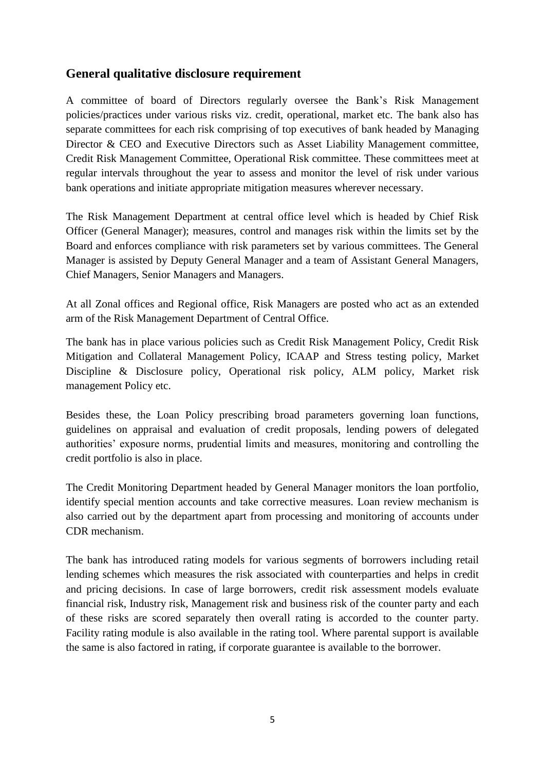## **General qualitative disclosure requirement**

A committee of board of Directors regularly oversee the Bank"s Risk Management policies/practices under various risks viz. credit, operational, market etc. The bank also has separate committees for each risk comprising of top executives of bank headed by Managing Director & CEO and Executive Directors such as Asset Liability Management committee, Credit Risk Management Committee, Operational Risk committee. These committees meet at regular intervals throughout the year to assess and monitor the level of risk under various bank operations and initiate appropriate mitigation measures wherever necessary.

The Risk Management Department at central office level which is headed by Chief Risk Officer (General Manager); measures, control and manages risk within the limits set by the Board and enforces compliance with risk parameters set by various committees. The General Manager is assisted by Deputy General Manager and a team of Assistant General Managers, Chief Managers, Senior Managers and Managers.

At all Zonal offices and Regional office, Risk Managers are posted who act as an extended arm of the Risk Management Department of Central Office.

The bank has in place various policies such as Credit Risk Management Policy, Credit Risk Mitigation and Collateral Management Policy, ICAAP and Stress testing policy, Market Discipline & Disclosure policy, Operational risk policy, ALM policy, Market risk management Policy etc.

Besides these, the Loan Policy prescribing broad parameters governing loan functions, guidelines on appraisal and evaluation of credit proposals, lending powers of delegated authorities' exposure norms, prudential limits and measures, monitoring and controlling the credit portfolio is also in place.

The Credit Monitoring Department headed by General Manager monitors the loan portfolio, identify special mention accounts and take corrective measures. Loan review mechanism is also carried out by the department apart from processing and monitoring of accounts under CDR mechanism.

The bank has introduced rating models for various segments of borrowers including retail lending schemes which measures the risk associated with counterparties and helps in credit and pricing decisions. In case of large borrowers, credit risk assessment models evaluate financial risk, Industry risk, Management risk and business risk of the counter party and each of these risks are scored separately then overall rating is accorded to the counter party. Facility rating module is also available in the rating tool. Where parental support is available the same is also factored in rating, if corporate guarantee is available to the borrower.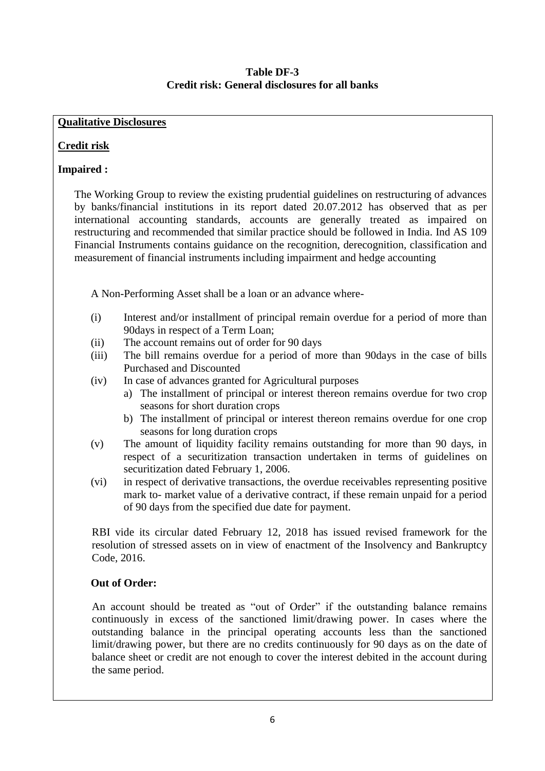#### **Table DF-3 Credit risk: General disclosures for all banks**

## **Qualitative Disclosures**

## **Credit risk**

## **Impaired :**

The Working Group to review the existing prudential guidelines on restructuring of advances by banks/financial institutions in its report dated 20.07.2012 has observed that as per international accounting standards, accounts are generally treated as impaired on restructuring and recommended that similar practice should be followed in India. Ind AS 109 Financial Instruments contains guidance on the recognition, derecognition, classification and measurement of financial instruments including impairment and hedge accounting

A Non-Performing Asset shall be a loan or an advance where-

- (i) Interest and/or installment of principal remain overdue for a period of more than 90days in respect of a Term Loan;
- (ii) The account remains out of order for 90 days
- (iii) The bill remains overdue for a period of more than 90days in the case of bills Purchased and Discounted
- (iv) In case of advances granted for Agricultural purposes
	- a) The installment of principal or interest thereon remains overdue for two crop seasons for short duration crops
	- b) The installment of principal or interest thereon remains overdue for one crop seasons for long duration crops
- (v) The amount of liquidity facility remains outstanding for more than 90 days, in respect of a securitization transaction undertaken in terms of guidelines on securitization dated February 1, 2006.
- (vi) in respect of derivative transactions, the overdue receivables representing positive mark to- market value of a derivative contract, if these remain unpaid for a period of 90 days from the specified due date for payment.

RBI vide its circular dated February 12, 2018 has issued revised framework for the resolution of stressed assets on in view of enactment of the Insolvency and Bankruptcy Code, 2016.

## **Out of Order:**

An account should be treated as "out of Order" if the outstanding balance remains continuously in excess of the sanctioned limit/drawing power. In cases where the outstanding balance in the principal operating accounts less than the sanctioned limit/drawing power, but there are no credits continuously for 90 days as on the date of balance sheet or credit are not enough to cover the interest debited in the account during the same period.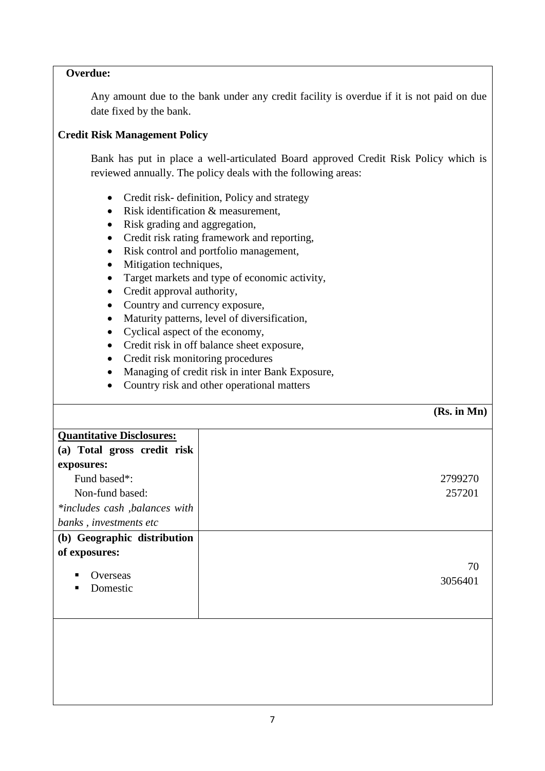## **Overdue:**

Any amount due to the bank under any credit facility is overdue if it is not paid on due date fixed by the bank.

#### **Credit Risk Management Policy**

Bank has put in place a well-articulated Board approved Credit Risk Policy which is reviewed annually. The policy deals with the following areas:

- Credit risk- definition, Policy and strategy
- Risk identification & measurement,
- Risk grading and aggregation,
- Credit risk rating framework and reporting,
- Risk control and portfolio management,
- Mitigation techniques,
- Target markets and type of economic activity,
- Credit approval authority,
- Country and currency exposure,
- Maturity patterns, level of diversification,
- Cyclical aspect of the economy,
- Credit risk in off balance sheet exposure,
- Credit risk monitoring procedures
- Managing of credit risk in inter Bank Exposure,
- Country risk and other operational matters

#### **(Rs. in Mn)**

| <b>Quantitative Disclosures:</b> |         |
|----------------------------------|---------|
| (a) Total gross credit risk      |         |
| exposures:                       |         |
| Fund based*:                     | 2799270 |
| Non-fund based:                  | 257201  |
| *includes cash, balances with    |         |
| banks, investments etc           |         |
| (b) Geographic distribution      |         |
| of exposures:                    |         |
|                                  | 70      |
| Overseas                         | 3056401 |
| Domestic                         |         |
|                                  |         |
|                                  |         |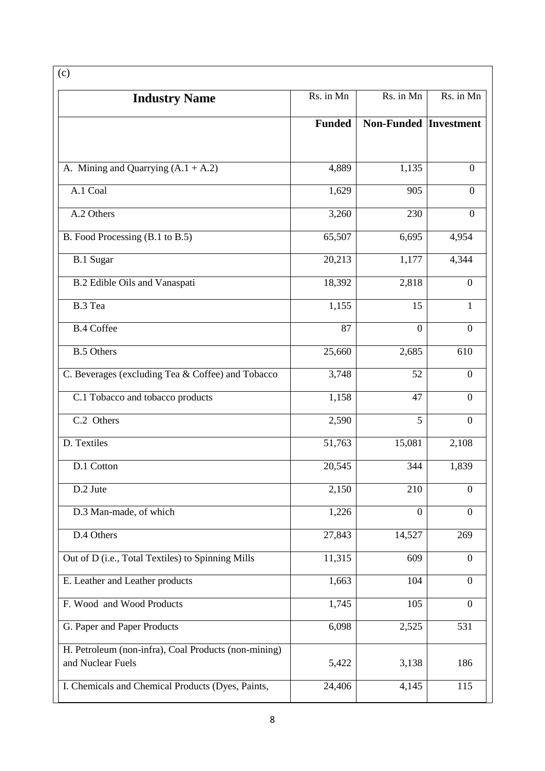| (c)                                                                       |               |                              |                  |
|---------------------------------------------------------------------------|---------------|------------------------------|------------------|
| <b>Industry Name</b>                                                      | Rs. in Mn     | Rs. in Mn                    | Rs. in Mn        |
|                                                                           | <b>Funded</b> | <b>Non-Funded Investment</b> |                  |
| A. Mining and Quarrying $(A.1 + A.2)$                                     | 4,889         | 1,135                        | $\mathbf{0}$     |
| A.1 Coal                                                                  | 1,629         | 905                          | $\overline{0}$   |
| A.2 Others                                                                | 3,260         | 230                          | $\theta$         |
| B. Food Processing (B.1 to B.5)                                           | 65,507        | 6,695                        | 4,954            |
| <b>B.1 Sugar</b>                                                          | 20,213        | 1,177                        | 4,344            |
| B.2 Edible Oils and Vanaspati                                             | 18,392        | 2,818                        | $\overline{0}$   |
| B.3 Tea                                                                   | 1,155         | 15                           | I.               |
| <b>B.4 Coffee</b>                                                         | 87            | $\overline{0}$               | $\overline{0}$   |
| <b>B.5 Others</b>                                                         | 25,660        | 2,685                        | 610              |
| C. Beverages (excluding Tea & Coffee) and Tobacco                         | 3,748         | 52                           | $\boldsymbol{0}$ |
| C.1 Tobacco and tobacco products                                          | 1,158         | 47                           | $\overline{0}$   |
| C.2 Others                                                                | 2,590         | 5                            | $\overline{0}$   |
| D. Textiles                                                               | 51,763        | 15,081                       | 2,108            |
| D.1 Cotton                                                                | 20,545        | 344                          | 1,839            |
| D.2 Jute                                                                  | 2,150         | 210                          | $\boldsymbol{0}$ |
| D.3 Man-made, of which                                                    | 1,226         | $\boldsymbol{0}$             | $\overline{0}$   |
| D.4 Others                                                                | 27,843        | 14,527                       | 269              |
| Out of D (i.e., Total Textiles) to Spinning Mills                         | 11,315        | 609                          | $\overline{0}$   |
| E. Leather and Leather products                                           | 1,663         | 104                          | $\overline{0}$   |
| F. Wood and Wood Products                                                 | 1,745         | 105                          | $\overline{0}$   |
| G. Paper and Paper Products                                               | 6,098         | 2,525                        | 531              |
| H. Petroleum (non-infra), Coal Products (non-mining)<br>and Nuclear Fuels | 5,422         | 3,138                        | 186              |
| I. Chemicals and Chemical Products (Dyes, Paints,                         | 24,406        | 4,145                        | 115              |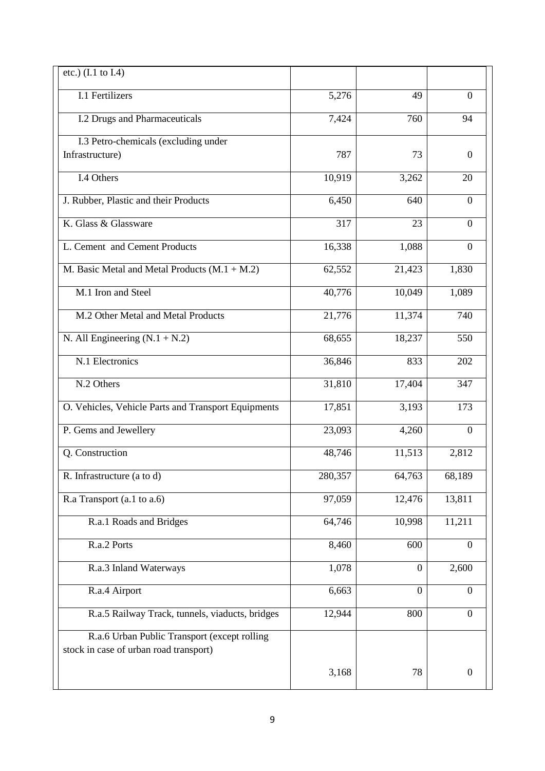| etc.) (I.1 to I.4)                                                                     |         |                |                  |
|----------------------------------------------------------------------------------------|---------|----------------|------------------|
| <b>I.1 Fertilizers</b>                                                                 | 5,276   | 49             | $\Omega$         |
| <b>I.2 Drugs and Pharmaceuticals</b>                                                   | 7,424   | 760            | 94               |
| I.3 Petro-chemicals (excluding under                                                   |         |                |                  |
| Infrastructure)                                                                        | 787     | 73             | $\Omega$         |
| I.4 Others                                                                             | 10,919  | 3,262          | 20               |
| J. Rubber, Plastic and their Products                                                  | 6,450   | 640            | $\Omega$         |
| K. Glass & Glassware                                                                   | 317     | 23             | $\theta$         |
| L. Cement and Cement Products                                                          | 16,338  | 1,088          | $\theta$         |
| M. Basic Metal and Metal Products $(M.1 + M.2)$                                        | 62,552  | 21,423         | 1,830            |
| M.1 Iron and Steel                                                                     | 40,776  | 10,049         | 1,089            |
| M.2 Other Metal and Metal Products                                                     | 21,776  | 11,374         | $\overline{7}40$ |
| N. All Engineering $(N.1 + N.2)$                                                       | 68,655  | 18,237         | 550              |
| N.1 Electronics                                                                        | 36,846  | 833            | 202              |
| N.2 Others                                                                             | 31,810  | 17,404         | 347              |
| O. Vehicles, Vehicle Parts and Transport Equipments                                    | 17,851  | 3,193          | 173              |
| P. Gems and Jewellery                                                                  | 23,093  | 4,260          | $\overline{0}$   |
| Q. Construction                                                                        | 48,746  | 11,513         | 2,812            |
| R. Infrastructure (a to d)                                                             | 280,357 | 64,763         | 68,189           |
| R.a Transport (a.1 to a.6)                                                             | 97,059  | 12,476         | 13,811           |
| R.a.1 Roads and Bridges                                                                | 64,746  | 10,998         | 11,211           |
| R.a.2 Ports                                                                            | 8,460   | 600            | $\mathbf{0}$     |
| R.a.3 Inland Waterways                                                                 | 1,078   | $\overline{0}$ | 2,600            |
| R.a.4 Airport                                                                          | 6,663   | $\overline{0}$ | $\overline{0}$   |
| R.a.5 Railway Track, tunnels, viaducts, bridges                                        | 12,944  | 800            | $\boldsymbol{0}$ |
| R.a.6 Urban Public Transport (except rolling<br>stock in case of urban road transport) |         |                |                  |
|                                                                                        | 3,168   | 78             | $\boldsymbol{0}$ |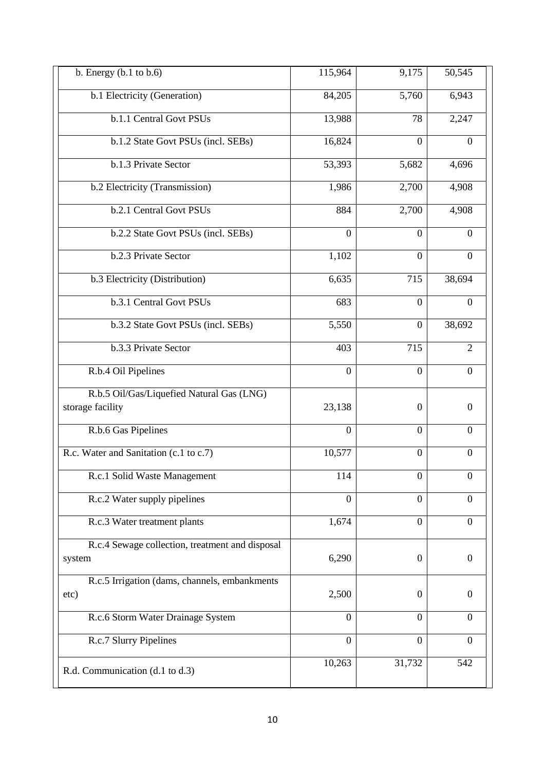| b. Energy $(b.1 to b.6)$                                  | 115,964          | 9,175            | 50,545           |
|-----------------------------------------------------------|------------------|------------------|------------------|
| b.1 Electricity (Generation)                              | 84,205           | 5,760            | 6,943            |
| b.1.1 Central Govt PSUs                                   | 13,988           | 78               | 2,247            |
| b.1.2 State Govt PSUs (incl. SEBs)                        | 16,824           | $\mathbf{0}$     | $\overline{0}$   |
| b.1.3 Private Sector                                      | 53,393           | 5,682            | 4,696            |
| b.2 Electricity (Transmission)                            | 1,986            | 2,700            | 4,908            |
| b.2.1 Central Govt PSUs                                   | 884              | 2,700            | 4,908            |
| b.2.2 State Govt PSUs (incl. SEBs)                        | $\overline{0}$   | $\overline{0}$   | $\overline{0}$   |
| b.2.3 Private Sector                                      | 1,102            | $\theta$         | $\theta$         |
| b.3 Electricity (Distribution)                            | 6,635            | 715              | 38,694           |
| b.3.1 Central Govt PSUs                                   | 683              | $\mathbf{0}$     | $\mathbf{0}$     |
| b.3.2 State Govt PSUs (incl. SEBs)                        | 5,550            | $\mathbf{0}$     | 38,692           |
| b.3.3 Private Sector                                      | 403              | 715              | $\overline{2}$   |
| R.b.4 Oil Pipelines                                       | $\boldsymbol{0}$ | $\mathbf{0}$     | $\overline{0}$   |
| R.b.5 Oil/Gas/Liquefied Natural Gas (LNG)                 |                  |                  |                  |
| storage facility                                          | 23,138           | $\overline{0}$   | $\boldsymbol{0}$ |
| R.b.6 Gas Pipelines                                       | $\mathbf{0}$     | $\overline{0}$   | $\theta$         |
| R.c. Water and Sanitation (c.1 to c.7)                    | 10,577           | $\overline{0}$   | $\overline{0}$   |
| R.c.1 Solid Waste Management                              | 114              | $\boldsymbol{0}$ | $\boldsymbol{0}$ |
| R.c.2 Water supply pipelines                              | $\mathbf{0}$     | $\boldsymbol{0}$ | $\overline{0}$   |
| R.c.3 Water treatment plants                              | 1,674            | $\mathbf{0}$     | $\overline{0}$   |
| R.c.4 Sewage collection, treatment and disposal<br>system | 6,290            | $\boldsymbol{0}$ | $\boldsymbol{0}$ |
| R.c.5 Irrigation (dams, channels, embankments<br>etc)     | 2,500            | $\boldsymbol{0}$ | $\theta$         |
| R.c.6 Storm Water Drainage System                         | $\theta$         | $\overline{0}$   | $\Omega$         |
| R.c.7 Slurry Pipelines                                    | $\boldsymbol{0}$ | $\mathbf{0}$     | $\boldsymbol{0}$ |
| R.d. Communication (d.1 to d.3)                           | 10,263           | 31,732           | 542              |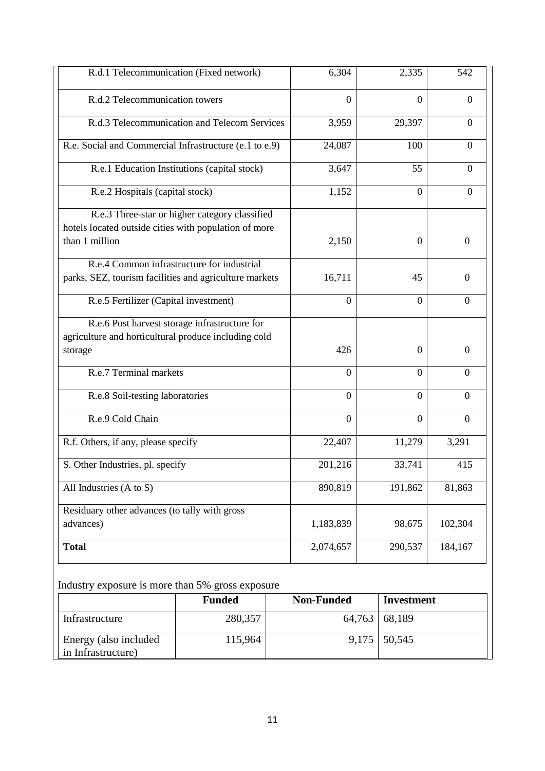| R.d.1 Telecommunication (Fixed network)                                                                                   | 6,304            | 2,335    | 542              |
|---------------------------------------------------------------------------------------------------------------------------|------------------|----------|------------------|
| R.d.2 Telecommunication towers                                                                                            | $\boldsymbol{0}$ | $\Omega$ | $\boldsymbol{0}$ |
| R.d.3 Telecommunication and Telecom Services                                                                              | 3,959            | 29,397   | $\overline{0}$   |
| R.e. Social and Commercial Infrastructure (e.1 to e.9)                                                                    | 24,087           | 100      | $\overline{0}$   |
| R.e.1 Education Institutions (capital stock)                                                                              | 3,647            | 55       | $\theta$         |
| R.e.2 Hospitals (capital stock)                                                                                           | 1,152            | $\theta$ | $\Omega$         |
| R.e.3 Three-star or higher category classified<br>hotels located outside cities with population of more<br>than 1 million | 2,150            | $\Omega$ | $\boldsymbol{0}$ |
| R.e.4 Common infrastructure for industrial<br>parks, SEZ, tourism facilities and agriculture markets                      | 16,711           | 45       | $\mathbf{0}$     |
| R.e.5 Fertilizer (Capital investment)                                                                                     | $\theta$         | $\theta$ | $\overline{0}$   |
| R.e.6 Post harvest storage infrastructure for                                                                             |                  |          |                  |
| agriculture and horticultural produce including cold                                                                      |                  |          |                  |
| storage                                                                                                                   | 426              | $\theta$ | $\overline{0}$   |
| R.e.7 Terminal markets                                                                                                    | $\overline{0}$   | $\theta$ | $\Omega$         |
| R.e.8 Soil-testing laboratories                                                                                           | $\boldsymbol{0}$ | $\theta$ | $\overline{0}$   |
| R.e.9 Cold Chain                                                                                                          | $\overline{0}$   | $\theta$ | $\overline{0}$   |
| R.f. Others, if any, please specify                                                                                       | 22,407           | 11,279   | 3,291            |
| S. Other Industries, pl. specify                                                                                          | 201,216          | 33,741   | 415              |
| All Industries (A to S)                                                                                                   | 890,819          | 191,862  | 81,863           |
| Residuary other advances (to tally with gross                                                                             |                  |          |                  |
| advances)                                                                                                                 | 1,183,839        | 98,675   | 102,304          |
| <b>Total</b>                                                                                                              | 2,074,657        | 290,537  | 184,167          |

## Industry exposure is more than 5% gross exposure

|                                             | <b>Funded</b> | <b>Non-Funded</b> | Investment      |
|---------------------------------------------|---------------|-------------------|-----------------|
| Infrastructure                              | 280,357       |                   | $64,763$ 68,189 |
| Energy (also included<br>in Infrastructure) | 115,964       |                   | $9,175$ 50,545  |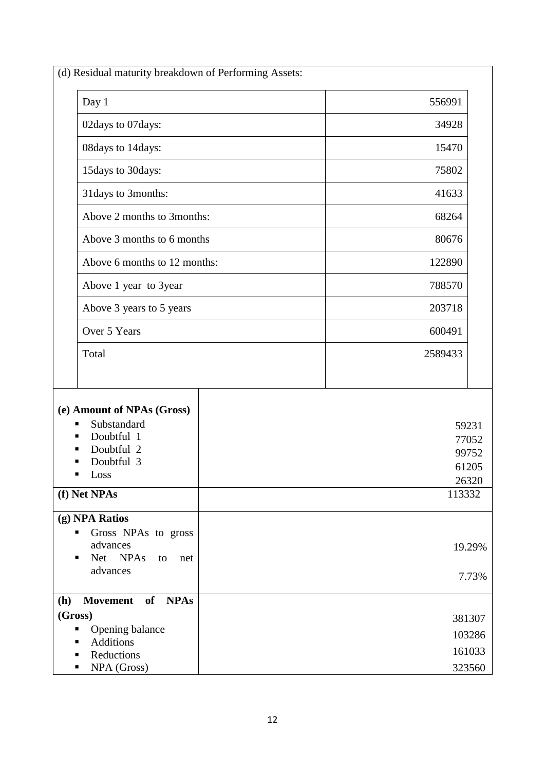| (d) Residual maturity breakdown of Performing Assets:                                                                         |                                           |
|-------------------------------------------------------------------------------------------------------------------------------|-------------------------------------------|
| Day 1                                                                                                                         | 556991                                    |
| 02days to 07days:                                                                                                             | 34928                                     |
| 08days to 14days:                                                                                                             | 15470                                     |
| 15days to 30days:                                                                                                             | 75802                                     |
| 31 days to 3months:                                                                                                           | 41633                                     |
| Above 2 months to 3months:                                                                                                    | 68264                                     |
| Above 3 months to 6 months                                                                                                    | 80676                                     |
| Above 6 months to 12 months:                                                                                                  | 122890                                    |
| Above 1 year to 3year                                                                                                         | 788570                                    |
| Above 3 years to 5 years                                                                                                      | 203718                                    |
| Over 5 Years                                                                                                                  | 600491                                    |
| Total                                                                                                                         | 2589433                                   |
|                                                                                                                               |                                           |
| (e) Amount of NPAs (Gross)<br>Substandard<br>٠<br>Doubtful 1<br>٠<br>Doubtful 2<br>■<br>Doubtful 3<br>Loss                    | 59231<br>77052<br>99752<br>61205<br>26320 |
| (f) Net NPAs                                                                                                                  | 113332                                    |
| (g) NPA Ratios<br>Gross NPAs to gross<br>п<br>advances<br>Net NPAs<br>to<br>п<br>net<br>advances                              | 19.29%<br>7.73%                           |
| <b>Movement</b><br>of NPAs<br>(h)<br>(Gross)<br>Opening balance<br>п<br>Additions<br>٠<br>Reductions<br>п<br>NPA (Gross)<br>٠ | 381307<br>103286<br>161033<br>323560      |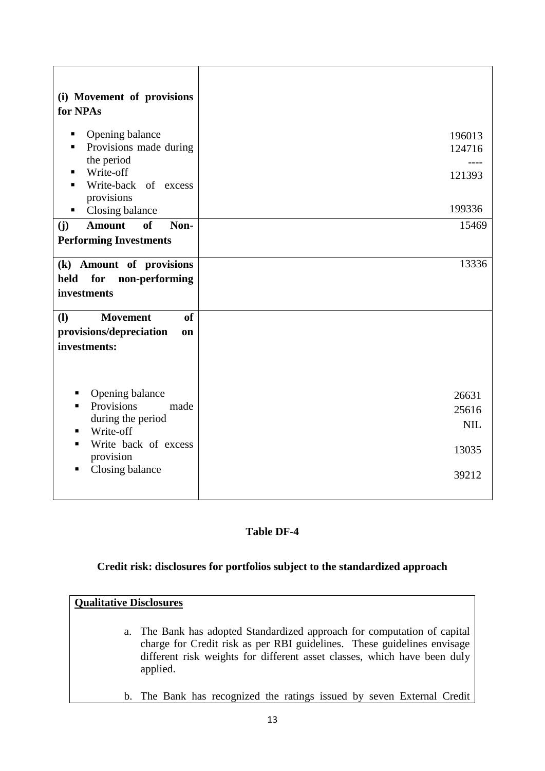| (i) Movement of provisions<br>for NPAs         |            |
|------------------------------------------------|------------|
| Opening balance<br>п                           | 196013     |
| Provisions made during<br>$\blacksquare$       | 124716     |
| the period<br>Write-off<br>٠                   |            |
| Write-back of excess<br>٠                      | 121393     |
| provisions                                     |            |
| Closing balance<br>Ξ                           | 199336     |
| of<br>Non-<br>(j)<br><b>Amount</b>             | 15469      |
| <b>Performing Investments</b>                  |            |
| (k) Amount of provisions                       | 13336      |
| held for<br>non-performing                     |            |
| investments                                    |            |
| <b>Movement</b><br><sub>of</sub><br><b>(I)</b> |            |
| provisions/depreciation<br><b>on</b>           |            |
| investments:                                   |            |
|                                                |            |
|                                                |            |
| Opening balance                                | 26631      |
| Provisions<br>made                             | 25616      |
| during the period<br>Write-off                 | <b>NIL</b> |
| Write back of excess<br>٠                      |            |
| provision                                      | 13035      |
| Closing balance<br>▪                           | 39212      |
|                                                |            |
|                                                |            |

## **Table DF-4**

## **Credit risk: disclosures for portfolios subject to the standardized approach**

# **Qualitative Disclosures** a. The Bank has adopted Standardized approach for computation of capital charge for Credit risk as per RBI guidelines. These guidelines envisage different risk weights for different asset classes, which have been duly applied. b. The Bank has recognized the ratings issued by seven External Credit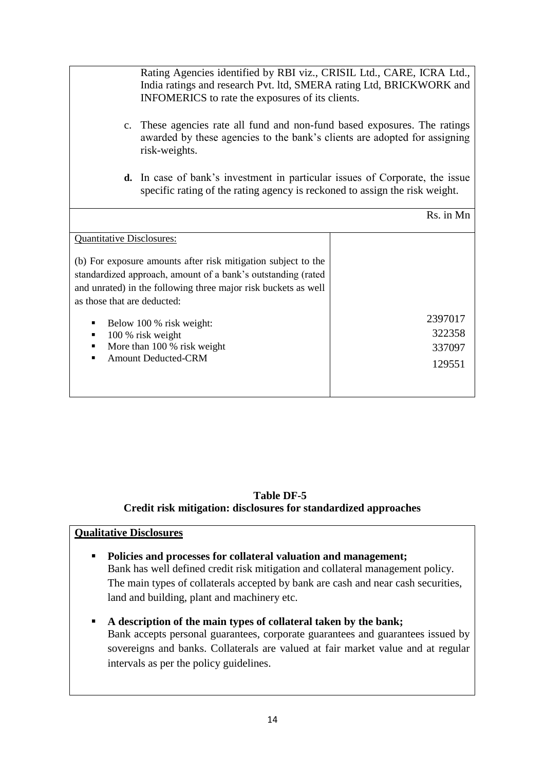|                                                                | Rating Agencies identified by RBI viz., CRISIL Ltd., CARE, ICRA Ltd.,<br>India ratings and research Pvt. ltd, SMERA rating Ltd, BRICKWORK and<br>INFOMERICS to rate the exposures of its clients. |           |  |
|----------------------------------------------------------------|---------------------------------------------------------------------------------------------------------------------------------------------------------------------------------------------------|-----------|--|
|                                                                |                                                                                                                                                                                                   |           |  |
|                                                                | c. These agencies rate all fund and non-fund based exposures. The ratings<br>awarded by these agencies to the bank's clients are adopted for assigning<br>risk-weights.                           |           |  |
| d.                                                             | In case of bank's investment in particular issues of Corporate, the issue<br>specific rating of the rating agency is reckoned to assign the risk weight.                                          |           |  |
|                                                                |                                                                                                                                                                                                   | Rs. in Mn |  |
| <b>Quantitative Disclosures:</b>                               |                                                                                                                                                                                                   |           |  |
|                                                                | (b) For exposure amounts after risk mitigation subject to the                                                                                                                                     |           |  |
| standardized approach, amount of a bank's outstanding (rated   |                                                                                                                                                                                                   |           |  |
| and unrated) in the following three major risk buckets as well |                                                                                                                                                                                                   |           |  |
| as those that are deducted:                                    |                                                                                                                                                                                                   |           |  |
| Below 100 % risk weight:<br>٠                                  |                                                                                                                                                                                                   | 2397017   |  |
| 100 % risk weight<br>٠                                         |                                                                                                                                                                                                   | 322358    |  |
| More than 100 % risk weight<br>٠                               |                                                                                                                                                                                                   | 337097    |  |
| <b>Amount Deducted-CRM</b><br>■                                |                                                                                                                                                                                                   | 129551    |  |
|                                                                |                                                                                                                                                                                                   |           |  |
|                                                                |                                                                                                                                                                                                   |           |  |

## **Table DF-5 Credit risk mitigation: disclosures for standardized approaches**

## **Qualitative Disclosures**

- **Policies and processes for collateral valuation and management;** Bank has well defined credit risk mitigation and collateral management policy. The main types of collaterals accepted by bank are cash and near cash securities, land and building, plant and machinery etc.
- **A description of the main types of collateral taken by the bank;** Bank accepts personal guarantees, corporate guarantees and guarantees issued by sovereigns and banks. Collaterals are valued at fair market value and at regular intervals as per the policy guidelines.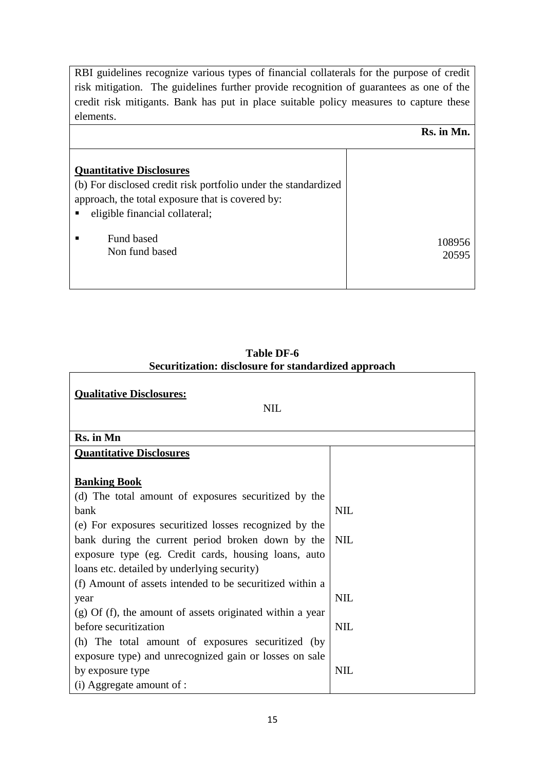RBI guidelines recognize various types of financial collaterals for the purpose of credit risk mitigation. The guidelines further provide recognition of guarantees as one of the credit risk mitigants. Bank has put in place suitable policy measures to capture these elements.

|                                                                | Rs. in Mn.      |
|----------------------------------------------------------------|-----------------|
| <b>Quantitative Disclosures</b>                                |                 |
| (b) For disclosed credit risk portfolio under the standardized |                 |
| approach, the total exposure that is covered by:               |                 |
| eligible financial collateral;                                 |                 |
| Fund based<br>٠<br>Non fund based                              | 108956<br>20595 |
|                                                                |                 |

| <b>Qualitative Disclosures:</b>                             |            |  |  |
|-------------------------------------------------------------|------------|--|--|
| <b>NIL</b>                                                  |            |  |  |
|                                                             |            |  |  |
| Rs. in Mn                                                   |            |  |  |
| <b>Quantitative Disclosures</b>                             |            |  |  |
|                                                             |            |  |  |
| <b>Banking Book</b>                                         |            |  |  |
| (d) The total amount of exposures securitized by the        |            |  |  |
| bank                                                        | <b>NIL</b> |  |  |
| (e) For exposures securitized losses recognized by the      |            |  |  |
| bank during the current period broken down by the           | <b>NIL</b> |  |  |
| exposure type (eg. Credit cards, housing loans, auto        |            |  |  |
| loans etc. detailed by underlying security)                 |            |  |  |
| (f) Amount of assets intended to be securitized within a    |            |  |  |
| year                                                        | <b>NIL</b> |  |  |
| $(g)$ Of (f), the amount of assets originated within a year |            |  |  |
| before securitization                                       | <b>NIL</b> |  |  |
| (h) The total amount of exposures securitized (by           |            |  |  |
| exposure type) and unrecognized gain or losses on sale      |            |  |  |
| by exposure type                                            | <b>NIL</b> |  |  |
| (i) Aggregate amount of :                                   |            |  |  |

**Table DF-6 Securitization: disclosure for standardized approach**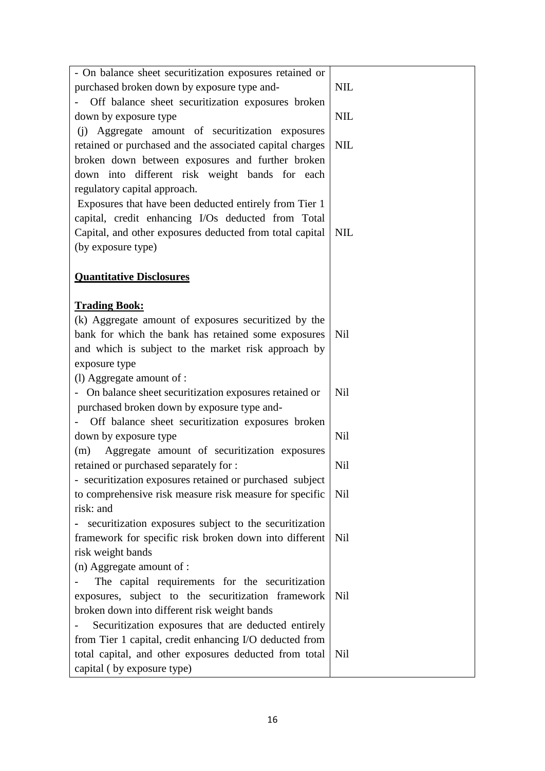| - On balance sheet securitization exposures retained or  |            |
|----------------------------------------------------------|------------|
| purchased broken down by exposure type and-              | <b>NIL</b> |
| Off balance sheet securitization exposures broken        |            |
| down by exposure type                                    | <b>NIL</b> |
| (j) Aggregate amount of securitization exposures         |            |
| retained or purchased and the associated capital charges | <b>NIL</b> |
| broken down between exposures and further broken         |            |
| down into different risk weight bands for each           |            |
| regulatory capital approach.                             |            |
| Exposures that have been deducted entirely from Tier 1   |            |
| capital, credit enhancing I/Os deducted from Total       |            |
| Capital, and other exposures deducted from total capital | NIL        |
| (by exposure type)                                       |            |
|                                                          |            |
| <b>Quantitative Disclosures</b>                          |            |
|                                                          |            |
| <b>Trading Book:</b>                                     |            |
| (k) Aggregate amount of exposures securitized by the     |            |
| bank for which the bank has retained some exposures      | Nil        |
| and which is subject to the market risk approach by      |            |
| exposure type                                            |            |
| (l) Aggregate amount of :                                |            |
| - On balance sheet securitization exposures retained or  | <b>Nil</b> |
| purchased broken down by exposure type and-              |            |
| Off balance sheet securitization exposures broken        |            |
| down by exposure type                                    | <b>Nil</b> |
| Aggregate amount of securitization exposures<br>(m)      |            |
| retained or purchased separately for :                   | <b>Nil</b> |
| - securitization exposures retained or purchased subject |            |
| to comprehensive risk measure risk measure for specific  | Nil        |
| risk: and                                                |            |
| securitization exposures subject to the securitization   |            |
| framework for specific risk broken down into different   | Nil        |
| risk weight bands                                        |            |
| (n) Aggregate amount of :                                |            |
| The capital requirements for the securitization          |            |
| exposures, subject to the securitization framework       | Nil        |
| broken down into different risk weight bands             |            |
| Securitization exposures that are deducted entirely      |            |
| from Tier 1 capital, credit enhancing I/O deducted from  |            |
| total capital, and other exposures deducted from total   | Nil        |
| capital (by exposure type)                               |            |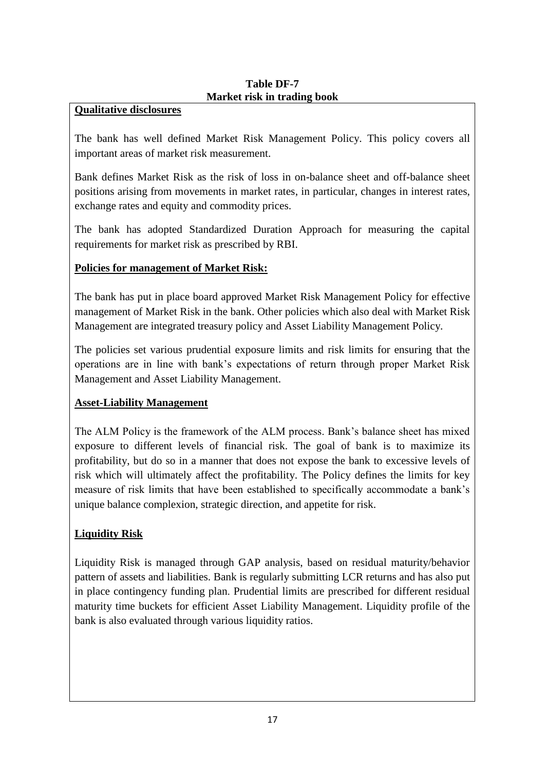#### **Table DF-7 Market risk in trading book**

## **Qualitative disclosures**

The bank has well defined Market Risk Management Policy. This policy covers all important areas of market risk measurement.

Bank defines Market Risk as the risk of loss in on-balance sheet and off-balance sheet positions arising from movements in market rates, in particular, changes in interest rates, exchange rates and equity and commodity prices.

The bank has adopted Standardized Duration Approach for measuring the capital requirements for market risk as prescribed by RBI.

## **Policies for management of Market Risk:**

The bank has put in place board approved Market Risk Management Policy for effective management of Market Risk in the bank. Other policies which also deal with Market Risk Management are integrated treasury policy and Asset Liability Management Policy.

The policies set various prudential exposure limits and risk limits for ensuring that the operations are in line with bank"s expectations of return through proper Market Risk Management and Asset Liability Management.

## **Asset-Liability Management**

The ALM Policy is the framework of the ALM process. Bank"s balance sheet has mixed exposure to different levels of financial risk. The goal of bank is to maximize its profitability, but do so in a manner that does not expose the bank to excessive levels of risk which will ultimately affect the profitability. The Policy defines the limits for key measure of risk limits that have been established to specifically accommodate a bank"s unique balance complexion, strategic direction, and appetite for risk.

## **Liquidity Risk**

Liquidity Risk is managed through GAP analysis, based on residual maturity/behavior pattern of assets and liabilities. Bank is regularly submitting LCR returns and has also put in place contingency funding plan. Prudential limits are prescribed for different residual maturity time buckets for efficient Asset Liability Management. Liquidity profile of the bank is also evaluated through various liquidity ratios.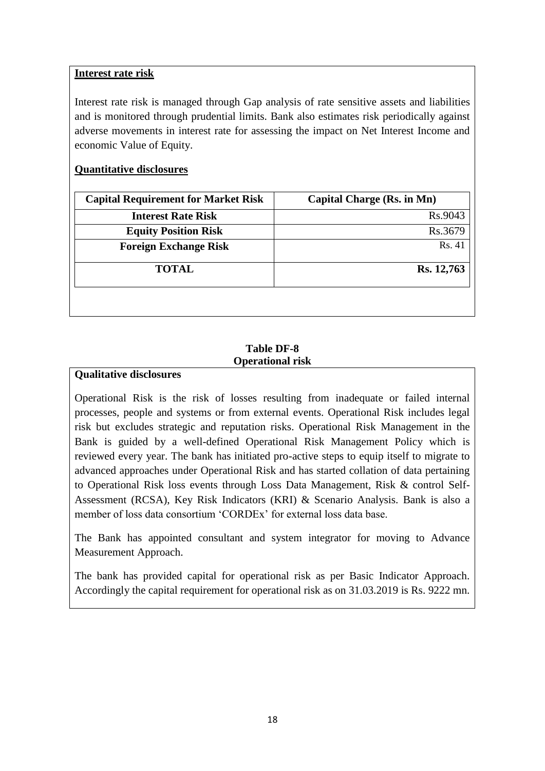#### **Interest rate risk**

Interest rate risk is managed through Gap analysis of rate sensitive assets and liabilities and is monitored through prudential limits. Bank also estimates risk periodically against adverse movements in interest rate for assessing the impact on Net Interest Income and economic Value of Equity.

## **Quantitative disclosures**

| <b>Capital Requirement for Market Risk</b> | Capital Charge (Rs. in Mn) |
|--------------------------------------------|----------------------------|
| <b>Interest Rate Risk</b>                  | Rs.9043                    |
| <b>Equity Position Risk</b>                | Rs.3679                    |
| <b>Foreign Exchange Risk</b>               | Rs. 41                     |
| <b>TOTAL</b>                               | Rs. 12,763                 |
|                                            |                            |

## **Table DF-8 Operational risk**

#### **Qualitative disclosures**

Operational Risk is the risk of losses resulting from inadequate or failed internal processes, people and systems or from external events. Operational Risk includes legal risk but excludes strategic and reputation risks. Operational Risk Management in the Bank is guided by a well-defined Operational Risk Management Policy which is reviewed every year. The bank has initiated pro-active steps to equip itself to migrate to advanced approaches under Operational Risk and has started collation of data pertaining to Operational Risk loss events through Loss Data Management, Risk & control Self-Assessment (RCSA), Key Risk Indicators (KRI) & Scenario Analysis. Bank is also a member of loss data consortium 'CORDEx' for external loss data base.

The Bank has appointed consultant and system integrator for moving to Advance Measurement Approach.

The bank has provided capital for operational risk as per Basic Indicator Approach. Accordingly the capital requirement for operational risk as on 31.03.2019 is Rs. 9222 mn.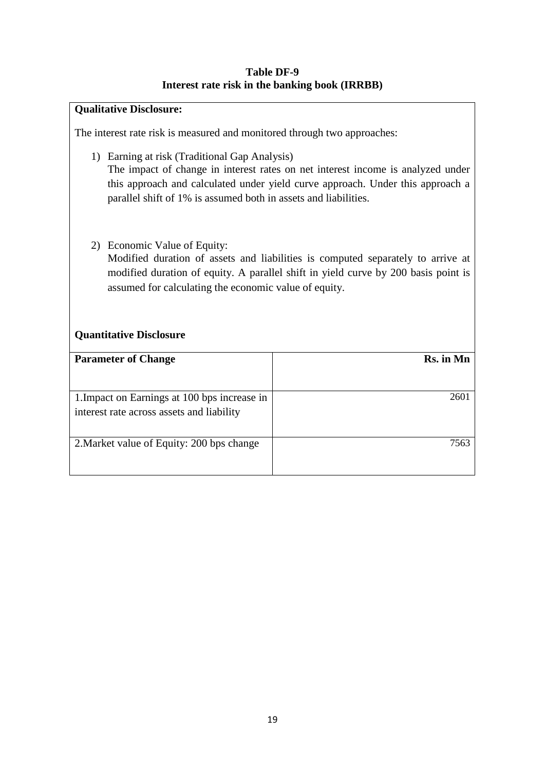## **Table DF-9 Interest rate risk in the banking book (IRRBB)**

## **Qualitative Disclosure:**

The interest rate risk is measured and monitored through two approaches:

- 1) Earning at risk (Traditional Gap Analysis) The impact of change in interest rates on net interest income is analyzed under this approach and calculated under yield curve approach. Under this approach a parallel shift of 1% is assumed both in assets and liabilities.
- 2) Economic Value of Equity:

Modified duration of assets and liabilities is computed separately to arrive at modified duration of equity. A parallel shift in yield curve by 200 basis point is assumed for calculating the economic value of equity.

## **Quantitative Disclosure**

| <b>Parameter of Change</b>                                                                | Rs. in Mn |
|-------------------------------------------------------------------------------------------|-----------|
|                                                                                           |           |
| 1. Impact on Earnings at 100 bps increase in<br>interest rate across assets and liability | 2601      |
| 2. Market value of Equity: 200 bps change                                                 | 7563      |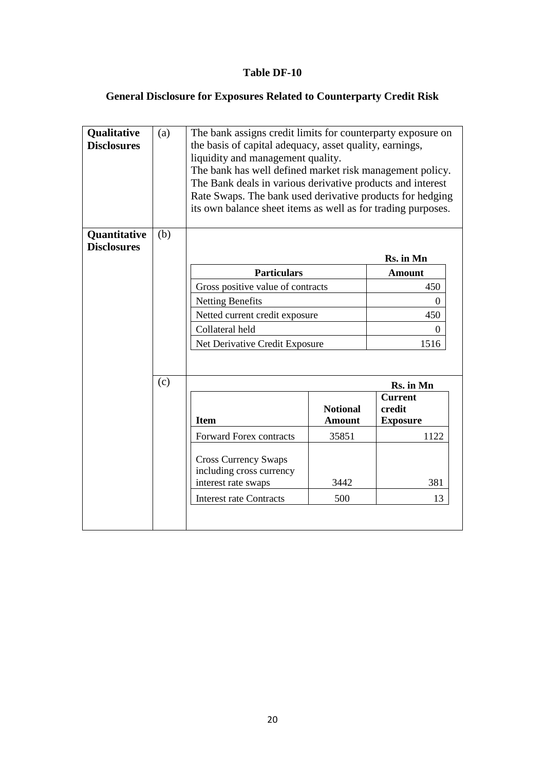## **Table DF-10**

## **General Disclosure for Exposures Related to Counterparty Credit Risk**

| Qualitative<br><b>Disclosures</b><br>Quantitative | (a)<br>(b) | The bank assigns credit limits for counterparty exposure on<br>the basis of capital adequacy, asset quality, earnings,<br>liquidity and management quality.<br>The bank has well defined market risk management policy.<br>The Bank deals in various derivative products and interest<br>Rate Swaps. The bank used derivative products for hedging<br>its own balance sheet items as well as for trading purposes. |                                  |                                             |
|---------------------------------------------------|------------|--------------------------------------------------------------------------------------------------------------------------------------------------------------------------------------------------------------------------------------------------------------------------------------------------------------------------------------------------------------------------------------------------------------------|----------------------------------|---------------------------------------------|
| <b>Disclosures</b>                                |            |                                                                                                                                                                                                                                                                                                                                                                                                                    |                                  | Rs. in Mn                                   |
|                                                   |            | <b>Particulars</b>                                                                                                                                                                                                                                                                                                                                                                                                 |                                  | <b>Amount</b>                               |
|                                                   |            | Gross positive value of contracts                                                                                                                                                                                                                                                                                                                                                                                  |                                  | 450                                         |
|                                                   |            | <b>Netting Benefits</b>                                                                                                                                                                                                                                                                                                                                                                                            |                                  | 0                                           |
|                                                   |            | Netted current credit exposure                                                                                                                                                                                                                                                                                                                                                                                     |                                  | 450                                         |
|                                                   |            | Collateral held                                                                                                                                                                                                                                                                                                                                                                                                    | $\Omega$                         |                                             |
|                                                   |            | Net Derivative Credit Exposure                                                                                                                                                                                                                                                                                                                                                                                     |                                  | 1516                                        |
|                                                   |            |                                                                                                                                                                                                                                                                                                                                                                                                                    |                                  |                                             |
|                                                   | (c)        |                                                                                                                                                                                                                                                                                                                                                                                                                    |                                  | Rs. in Mn                                   |
|                                                   |            | <b>Item</b>                                                                                                                                                                                                                                                                                                                                                                                                        | <b>Notional</b><br><b>Amount</b> | <b>Current</b><br>credit<br><b>Exposure</b> |
|                                                   |            | <b>Forward Forex contracts</b>                                                                                                                                                                                                                                                                                                                                                                                     | 35851                            | 1122                                        |
|                                                   |            | <b>Cross Currency Swaps</b><br>including cross currency<br>interest rate swaps<br><b>Interest rate Contracts</b>                                                                                                                                                                                                                                                                                                   | 3442<br>500                      | 381<br>13                                   |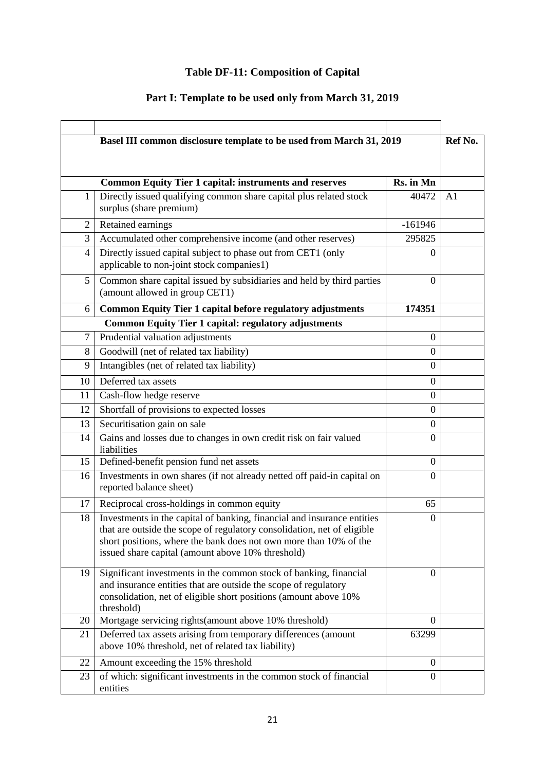# **Table DF-11: Composition of Capital**

# **Part I: Template to be used only from March 31, 2019**

|                | Basel III common disclosure template to be used from March 31, 2019                                                                                                                                                                                                          |                | Ref No.        |
|----------------|------------------------------------------------------------------------------------------------------------------------------------------------------------------------------------------------------------------------------------------------------------------------------|----------------|----------------|
|                |                                                                                                                                                                                                                                                                              |                |                |
|                |                                                                                                                                                                                                                                                                              |                |                |
|                | <b>Common Equity Tier 1 capital: instruments and reserves</b>                                                                                                                                                                                                                | Rs. in Mn      |                |
| $\mathbf{1}$   | Directly issued qualifying common share capital plus related stock<br>surplus (share premium)                                                                                                                                                                                | 40472          | A <sub>1</sub> |
| $\overline{2}$ | Retained earnings                                                                                                                                                                                                                                                            | $-161946$      |                |
| 3              | Accumulated other comprehensive income (and other reserves)                                                                                                                                                                                                                  | 295825         |                |
| 4              | Directly issued capital subject to phase out from CET1 (only<br>applicable to non-joint stock companies1)                                                                                                                                                                    | $^{(1)}$       |                |
| 5              | Common share capital issued by subsidiaries and held by third parties<br>(amount allowed in group CET1)                                                                                                                                                                      | $\theta$       |                |
| 6              | Common Equity Tier 1 capital before regulatory adjustments                                                                                                                                                                                                                   | 174351         |                |
|                | <b>Common Equity Tier 1 capital: regulatory adjustments</b>                                                                                                                                                                                                                  |                |                |
| 7              | Prudential valuation adjustments                                                                                                                                                                                                                                             | $\theta$       |                |
| 8              | Goodwill (net of related tax liability)                                                                                                                                                                                                                                      | $\theta$       |                |
| 9              | Intangibles (net of related tax liability)                                                                                                                                                                                                                                   | $\overline{0}$ |                |
| 10             | Deferred tax assets                                                                                                                                                                                                                                                          | $\theta$       |                |
| 11             | Cash-flow hedge reserve                                                                                                                                                                                                                                                      | $\theta$       |                |
| 12             | Shortfall of provisions to expected losses                                                                                                                                                                                                                                   | $\overline{0}$ |                |
| 13             | Securitisation gain on sale                                                                                                                                                                                                                                                  | $\overline{0}$ |                |
| 14             | Gains and losses due to changes in own credit risk on fair valued<br>liabilities                                                                                                                                                                                             | $\Omega$       |                |
| 15             | Defined-benefit pension fund net assets                                                                                                                                                                                                                                      | $\Omega$       |                |
| 16             | Investments in own shares (if not already netted off paid-in capital on<br>reported balance sheet)                                                                                                                                                                           | 0              |                |
| 17             | Reciprocal cross-holdings in common equity                                                                                                                                                                                                                                   | 65             |                |
| 18             | Investments in the capital of banking, financial and insurance entities<br>that are outside the scope of regulatory consolidation, net of eligible<br>short positions, where the bank does not own more than 10% of the<br>issued share capital (amount above 10% threshold) | $\theta$       |                |
| 19             | Significant investments in the common stock of banking, financial<br>and insurance entities that are outside the scope of regulatory<br>consolidation, net of eligible short positions (amount above 10%<br>threshold)                                                       | $\theta$       |                |
| 20             | Mortgage servicing rights(amount above 10% threshold)                                                                                                                                                                                                                        | $\Omega$       |                |
| 21             | Deferred tax assets arising from temporary differences (amount<br>above 10% threshold, net of related tax liability)                                                                                                                                                         | 63299          |                |
| 22             | Amount exceeding the 15% threshold                                                                                                                                                                                                                                           | $\theta$       |                |
| 23             | of which: significant investments in the common stock of financial<br>entities                                                                                                                                                                                               | $\theta$       |                |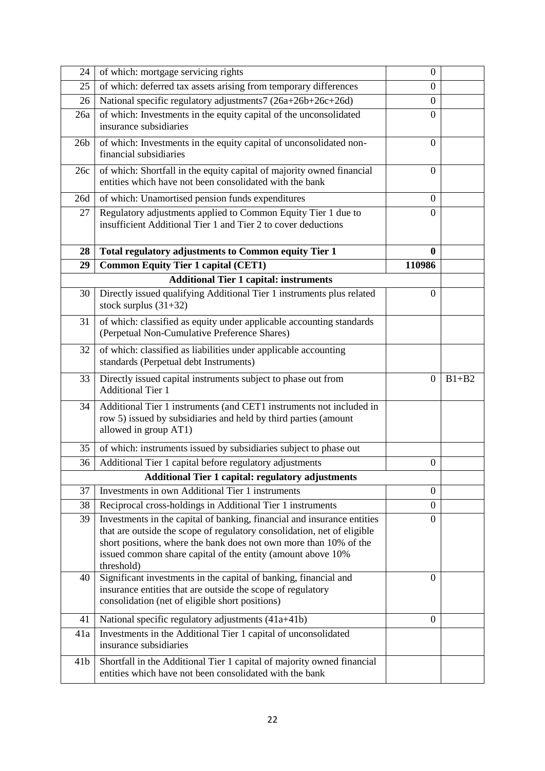| 24              | of which: mortgage servicing rights                                                                                                                                                                                                                                                                  | $\boldsymbol{0}$ |         |
|-----------------|------------------------------------------------------------------------------------------------------------------------------------------------------------------------------------------------------------------------------------------------------------------------------------------------------|------------------|---------|
| 25              | of which: deferred tax assets arising from temporary differences                                                                                                                                                                                                                                     | $\mathbf{0}$     |         |
| 26              | National specific regulatory adjustments7 (26a+26b+26c+26d)                                                                                                                                                                                                                                          | $\overline{0}$   |         |
| 26a             | of which: Investments in the equity capital of the unconsolidated<br>insurance subsidiaries                                                                                                                                                                                                          | $\overline{0}$   |         |
| 26 <sub>b</sub> | of which: Investments in the equity capital of unconsolidated non-<br>financial subsidiaries                                                                                                                                                                                                         | $\boldsymbol{0}$ |         |
| 26c             | of which: Shortfall in the equity capital of majority owned financial<br>entities which have not been consolidated with the bank                                                                                                                                                                     | $\theta$         |         |
| 26d             | of which: Unamortised pension funds expenditures                                                                                                                                                                                                                                                     | $\theta$         |         |
| 27              | Regulatory adjustments applied to Common Equity Tier 1 due to<br>insufficient Additional Tier 1 and Tier 2 to cover deductions                                                                                                                                                                       | $\Omega$         |         |
| 28              | Total regulatory adjustments to Common equity Tier 1                                                                                                                                                                                                                                                 | $\bf{0}$         |         |
| 29              | <b>Common Equity Tier 1 capital (CET1)</b>                                                                                                                                                                                                                                                           | 110986           |         |
|                 | <b>Additional Tier 1 capital: instruments</b>                                                                                                                                                                                                                                                        |                  |         |
| 30              | Directly issued qualifying Additional Tier 1 instruments plus related<br>stock surplus $(31+32)$                                                                                                                                                                                                     | $\Omega$         |         |
| 31              | of which: classified as equity under applicable accounting standards<br>(Perpetual Non-Cumulative Preference Shares)                                                                                                                                                                                 |                  |         |
| 32              | of which: classified as liabilities under applicable accounting<br>standards (Perpetual debt Instruments)                                                                                                                                                                                            |                  |         |
| 33              | Directly issued capital instruments subject to phase out from<br><b>Additional Tier 1</b>                                                                                                                                                                                                            | $\overline{0}$   | $B1+B2$ |
| 34              | Additional Tier 1 instruments (and CET1 instruments not included in<br>row 5) issued by subsidiaries and held by third parties (amount<br>allowed in group AT1)                                                                                                                                      |                  |         |
| 35              | of which: instruments issued by subsidiaries subject to phase out                                                                                                                                                                                                                                    |                  |         |
| 36              | Additional Tier 1 capital before regulatory adjustments                                                                                                                                                                                                                                              | $\theta$         |         |
|                 | Additional Tier 1 capital: regulatory adjustments                                                                                                                                                                                                                                                    |                  |         |
| 37              | Investments in own Additional Tier 1 instruments                                                                                                                                                                                                                                                     | $\mathbf{0}$     |         |
| 38              | Reciprocal cross-holdings in Additional Tier 1 instruments                                                                                                                                                                                                                                           | $\overline{0}$   |         |
| 39              | Investments in the capital of banking, financial and insurance entities<br>that are outside the scope of regulatory consolidation, net of eligible<br>short positions, where the bank does not own more than 10% of the<br>issued common share capital of the entity (amount above 10%<br>threshold) | $\Omega$         |         |
| 40              | Significant investments in the capital of banking, financial and<br>insurance entities that are outside the scope of regulatory<br>consolidation (net of eligible short positions)                                                                                                                   | $\theta$         |         |
| 41              | National specific regulatory adjustments (41a+41b)                                                                                                                                                                                                                                                   | $\Omega$         |         |
| 41a             | Investments in the Additional Tier 1 capital of unconsolidated<br>insurance subsidiaries                                                                                                                                                                                                             |                  |         |
| 41 <sub>b</sub> |                                                                                                                                                                                                                                                                                                      |                  |         |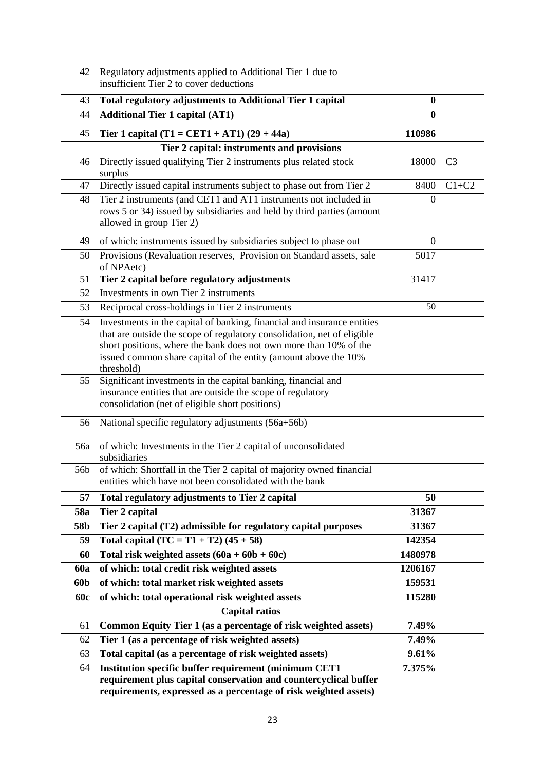| 42                    | Regulatory adjustments applied to Additional Tier 1 due to<br>insufficient Tier 2 to cover deductions                                                                                                                                                                                                    |                  |                |
|-----------------------|----------------------------------------------------------------------------------------------------------------------------------------------------------------------------------------------------------------------------------------------------------------------------------------------------------|------------------|----------------|
| 43                    | Total regulatory adjustments to Additional Tier 1 capital                                                                                                                                                                                                                                                | $\bf{0}$         |                |
| 44                    | <b>Additional Tier 1 capital (AT1)</b>                                                                                                                                                                                                                                                                   | $\mathbf{0}$     |                |
| 45                    | Tier 1 capital $(T1 = CET1 + AT1) (29 + 44a)$                                                                                                                                                                                                                                                            | 110986           |                |
|                       | Tier 2 capital: instruments and provisions                                                                                                                                                                                                                                                               |                  |                |
| 46                    | Directly issued qualifying Tier 2 instruments plus related stock<br>surplus                                                                                                                                                                                                                              | 18000            | C <sub>3</sub> |
| 47                    | Directly issued capital instruments subject to phase out from Tier 2                                                                                                                                                                                                                                     | 8400             | $C1+C2$        |
| 48                    | Tier 2 instruments (and CET1 and AT1 instruments not included in<br>rows 5 or 34) issued by subsidiaries and held by third parties (amount<br>allowed in group Tier 2)                                                                                                                                   | $\theta$         |                |
| 49                    | of which: instruments issued by subsidiaries subject to phase out                                                                                                                                                                                                                                        | $\boldsymbol{0}$ |                |
| 50                    | Provisions (Revaluation reserves, Provision on Standard assets, sale<br>of NPAetc)                                                                                                                                                                                                                       | 5017             |                |
| 51                    | Tier 2 capital before regulatory adjustments                                                                                                                                                                                                                                                             | 31417            |                |
| 52                    | Investments in own Tier 2 instruments                                                                                                                                                                                                                                                                    |                  |                |
| 53                    | Reciprocal cross-holdings in Tier 2 instruments                                                                                                                                                                                                                                                          | 50               |                |
| 54                    | Investments in the capital of banking, financial and insurance entities<br>that are outside the scope of regulatory consolidation, net of eligible<br>short positions, where the bank does not own more than 10% of the<br>issued common share capital of the entity (amount above the 10%<br>threshold) |                  |                |
| 55                    | Significant investments in the capital banking, financial and<br>insurance entities that are outside the scope of regulatory<br>consolidation (net of eligible short positions)                                                                                                                          |                  |                |
| 56                    | National specific regulatory adjustments (56a+56b)                                                                                                                                                                                                                                                       |                  |                |
| 56a                   | of which: Investments in the Tier 2 capital of unconsolidated<br>subsidiaries                                                                                                                                                                                                                            |                  |                |
| 56b                   | of which: Shortfall in the Tier 2 capital of majority owned financial<br>entities which have not been consolidated with the bank                                                                                                                                                                         |                  |                |
| 57                    | Total regulatory adjustments to Tier 2 capital                                                                                                                                                                                                                                                           | 50               |                |
| <b>58a</b>            | <b>Tier 2 capital</b>                                                                                                                                                                                                                                                                                    | 31367            |                |
| 58b                   | Tier 2 capital (T2) admissible for regulatory capital purposes                                                                                                                                                                                                                                           | 31367            |                |
| 59                    | Total capital $(TC = T1 + T2) (45 + 58)$                                                                                                                                                                                                                                                                 | 142354           |                |
| 60                    | Total risk weighted assets $(60a + 60b + 60c)$                                                                                                                                                                                                                                                           | 1480978          |                |
| <b>60a</b>            | of which: total credit risk weighted assets                                                                                                                                                                                                                                                              | 1206167          |                |
| 60b                   | of which: total market risk weighted assets                                                                                                                                                                                                                                                              | 159531           |                |
| <b>60c</b>            | of which: total operational risk weighted assets                                                                                                                                                                                                                                                         | 115280           |                |
| <b>Capital ratios</b> |                                                                                                                                                                                                                                                                                                          |                  |                |
| 61                    | Common Equity Tier 1 (as a percentage of risk weighted assets)                                                                                                                                                                                                                                           | 7.49%            |                |
| 62                    | Tier 1 (as a percentage of risk weighted assets)                                                                                                                                                                                                                                                         | 7.49%            |                |
| 63                    | Total capital (as a percentage of risk weighted assets)                                                                                                                                                                                                                                                  | 9.61%            |                |
| 64                    | Institution specific buffer requirement (minimum CET1<br>requirement plus capital conservation and countercyclical buffer<br>requirements, expressed as a percentage of risk weighted assets)                                                                                                            | 7.375%           |                |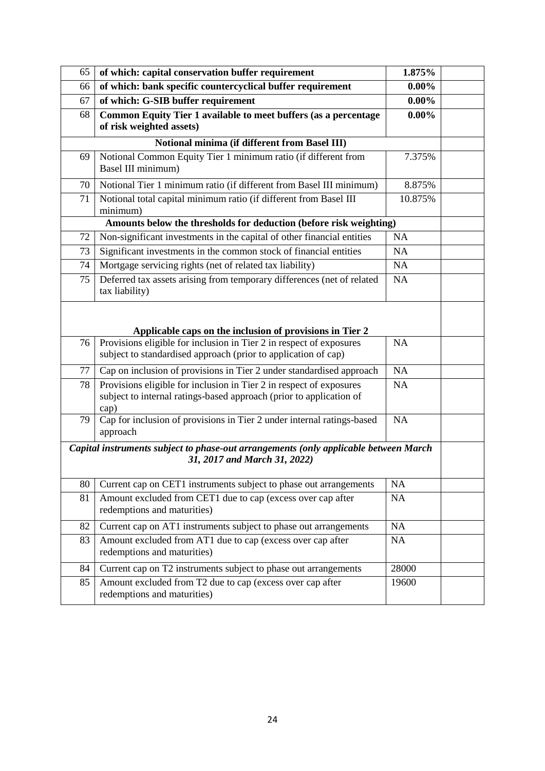| 65                                                                                                                   | of which: capital conservation buffer requirement                                                                                                                                                 | 1.875%    |  |
|----------------------------------------------------------------------------------------------------------------------|---------------------------------------------------------------------------------------------------------------------------------------------------------------------------------------------------|-----------|--|
| 66                                                                                                                   | of which: bank specific countercyclical buffer requirement                                                                                                                                        | $0.00\%$  |  |
| 67                                                                                                                   | of which: G-SIB buffer requirement                                                                                                                                                                | $0.00\%$  |  |
| 68                                                                                                                   | Common Equity Tier 1 available to meet buffers (as a percentage<br>of risk weighted assets)                                                                                                       | $0.00\%$  |  |
|                                                                                                                      | Notional minima (if different from Basel III)                                                                                                                                                     |           |  |
| 69                                                                                                                   | Notional Common Equity Tier 1 minimum ratio (if different from<br>Basel III minimum)                                                                                                              | 7.375%    |  |
| 70                                                                                                                   | Notional Tier 1 minimum ratio (if different from Basel III minimum)                                                                                                                               | 8.875%    |  |
| 71                                                                                                                   | Notional total capital minimum ratio (if different from Basel III<br>minimum)                                                                                                                     | 10.875%   |  |
|                                                                                                                      | Amounts below the thresholds for deduction (before risk weighting)                                                                                                                                |           |  |
| 72                                                                                                                   | Non-significant investments in the capital of other financial entities                                                                                                                            | <b>NA</b> |  |
| 73                                                                                                                   | Significant investments in the common stock of financial entities                                                                                                                                 | <b>NA</b> |  |
| 74                                                                                                                   | Mortgage servicing rights (net of related tax liability)                                                                                                                                          | NA        |  |
| 75                                                                                                                   | Deferred tax assets arising from temporary differences (net of related<br>tax liability)                                                                                                          | <b>NA</b> |  |
| 76                                                                                                                   | Applicable caps on the inclusion of provisions in Tier 2<br>Provisions eligible for inclusion in Tier 2 in respect of exposures<br>subject to standardised approach (prior to application of cap) | <b>NA</b> |  |
| $77\,$                                                                                                               | Cap on inclusion of provisions in Tier 2 under standardised approach                                                                                                                              | <b>NA</b> |  |
| 78                                                                                                                   | Provisions eligible for inclusion in Tier 2 in respect of exposures<br>subject to internal ratings-based approach (prior to application of<br>cap)                                                | NA        |  |
| 79                                                                                                                   | Cap for inclusion of provisions in Tier 2 under internal ratings-based<br>approach                                                                                                                | <b>NA</b> |  |
| Capital instruments subject to phase-out arrangements (only applicable between March<br>31, 2017 and March 31, 2022) |                                                                                                                                                                                                   |           |  |
| 80                                                                                                                   | Current cap on CET1 instruments subject to phase out arrangements                                                                                                                                 | <b>NA</b> |  |
| 81                                                                                                                   | Amount excluded from CET1 due to cap (excess over cap after<br>redemptions and maturities)                                                                                                        | NA        |  |
| 82                                                                                                                   | Current cap on AT1 instruments subject to phase out arrangements                                                                                                                                  | NA        |  |
| 83                                                                                                                   | Amount excluded from AT1 due to cap (excess over cap after<br>redemptions and maturities)                                                                                                         | NA        |  |
| 84                                                                                                                   | Current cap on T2 instruments subject to phase out arrangements                                                                                                                                   | 28000     |  |
| 85                                                                                                                   | Amount excluded from T2 due to cap (excess over cap after<br>redemptions and maturities)                                                                                                          | 19600     |  |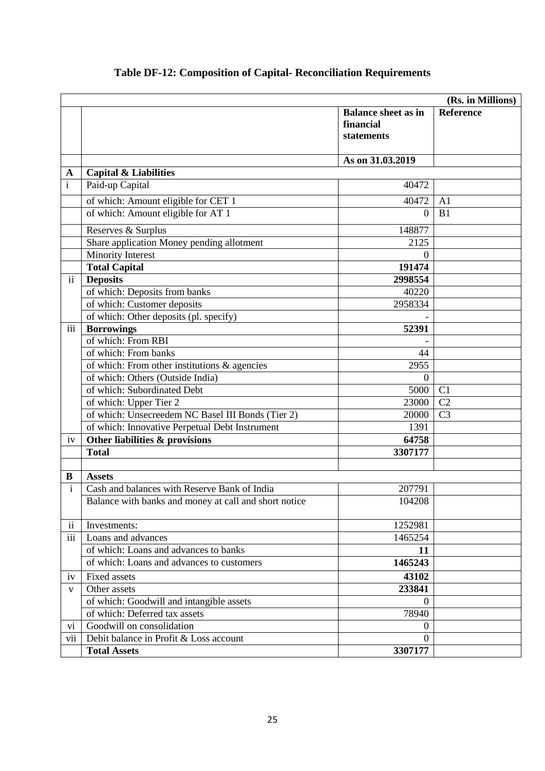|                 |                                                       |                                                       | (Rs. in Millions) |
|-----------------|-------------------------------------------------------|-------------------------------------------------------|-------------------|
|                 |                                                       | <b>Balance sheet as in</b><br>financial<br>statements | <b>Reference</b>  |
|                 |                                                       | As on 31.03.2019                                      |                   |
| A               | <b>Capital &amp; Liabilities</b>                      |                                                       |                   |
| $\mathbf{i}$    | Paid-up Capital                                       | 40472                                                 |                   |
|                 | of which: Amount eligible for CET 1                   | 40472                                                 | A <sub>1</sub>    |
|                 | of which: Amount eligible for AT 1                    | $\overline{0}$                                        | B1                |
|                 | Reserves & Surplus                                    | 148877                                                |                   |
|                 | Share application Money pending allotment             | 2125                                                  |                   |
|                 | <b>Minority Interest</b>                              | $\Omega$                                              |                   |
|                 | <b>Total Capital</b>                                  | 191474                                                |                   |
| $\overline{ii}$ | <b>Deposits</b>                                       | 2998554                                               |                   |
|                 | of which: Deposits from banks                         | 40220                                                 |                   |
|                 | of which: Customer deposits                           | 2958334                                               |                   |
|                 | of which: Other deposits (pl. specify)                |                                                       |                   |
| iii             | <b>Borrowings</b>                                     | 52391                                                 |                   |
|                 | of which: From RBI                                    |                                                       |                   |
|                 | of which: From banks                                  | 44                                                    |                   |
|                 | of which: From other institutions & agencies          | 2955                                                  |                   |
|                 | of which: Others (Outside India)                      | $\overline{0}$                                        |                   |
|                 | of which: Subordinated Debt                           | 5000                                                  | C1                |
|                 | of which: Upper Tier 2                                | 23000                                                 | C <sub>2</sub>    |
|                 | of which: Unsecreedem NC Basel III Bonds (Tier 2)     | 20000                                                 | C <sub>3</sub>    |
|                 | of which: Innovative Perpetual Debt Instrument        | 1391                                                  |                   |
| iv              | Other liabilities & provisions                        | 64758                                                 |                   |
|                 | <b>Total</b>                                          | 3307177                                               |                   |
|                 |                                                       |                                                       |                   |
| B               | <b>Assets</b>                                         |                                                       |                   |
| $\mathbf{i}$    | Cash and balances with Reserve Bank of India          | 207791                                                |                   |
|                 | Balance with banks and money at call and short notice | 104208                                                |                   |
| $\mathbf{ii}$   | Investments:                                          | 1252981                                               |                   |
| iii             | Loans and advances                                    | 1465254                                               |                   |
|                 | of which: Loans and advances to banks                 | 11                                                    |                   |
|                 | of which: Loans and advances to customers             | 1465243                                               |                   |
| iv              | Fixed assets                                          | 43102                                                 |                   |
| $\mathbf{V}$    | Other assets                                          | 233841                                                |                   |
|                 | of which: Goodwill and intangible assets              | $\Omega$                                              |                   |
|                 | of which: Deferred tax assets                         | 78940                                                 |                   |
| $\overline{vi}$ | Goodwill on consolidation                             | $\theta$                                              |                   |
| vii             | Debit balance in Profit & Loss account                | $\Omega$                                              |                   |
|                 | <b>Total Assets</b>                                   | 3307177                                               |                   |

# **Table DF-12: Composition of Capital- Reconciliation Requirements**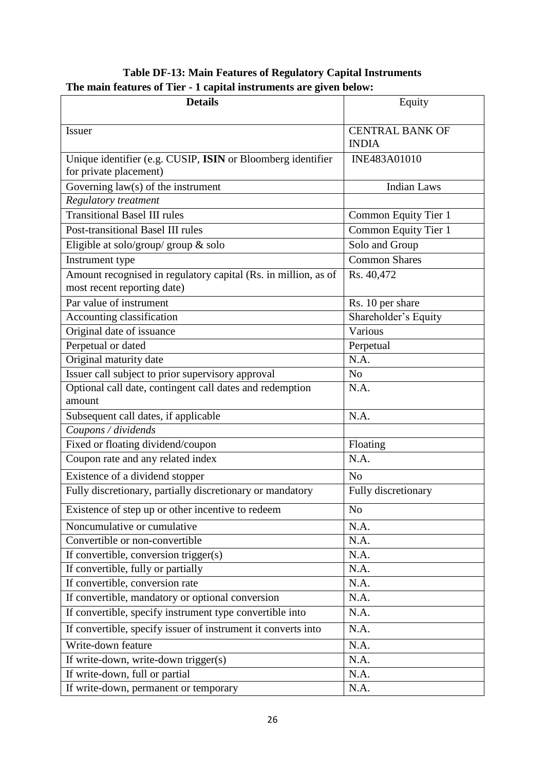| <b>Details</b>                                                                                | Equity                                 |
|-----------------------------------------------------------------------------------------------|----------------------------------------|
|                                                                                               |                                        |
| Issuer                                                                                        | <b>CENTRAL BANK OF</b><br><b>INDIA</b> |
| Unique identifier (e.g. CUSIP, ISIN or Bloomberg identifier<br>for private placement)         | INE483A01010                           |
| Governing law(s) of the instrument                                                            | <b>Indian Laws</b>                     |
| Regulatory treatment                                                                          |                                        |
| <b>Transitional Basel III rules</b>                                                           | Common Equity Tier 1                   |
| Post-transitional Basel III rules                                                             | Common Equity Tier 1                   |
| Eligible at solo/group/ group & solo                                                          | Solo and Group                         |
| Instrument type                                                                               | <b>Common Shares</b>                   |
| Amount recognised in regulatory capital (Rs. in million, as of<br>most recent reporting date) | Rs. 40,472                             |
| Par value of instrument                                                                       | Rs. 10 per share                       |
| Accounting classification                                                                     | Shareholder's Equity                   |
| Original date of issuance                                                                     | Various                                |
| Perpetual or dated                                                                            | Perpetual                              |
| Original maturity date                                                                        | N.A.                                   |
| Issuer call subject to prior supervisory approval                                             | N <sub>o</sub>                         |
| Optional call date, contingent call dates and redemption<br>amount                            | N.A.                                   |
| Subsequent call dates, if applicable                                                          | N.A.                                   |
| Coupons / dividends                                                                           |                                        |
| Fixed or floating dividend/coupon                                                             | Floating                               |
| Coupon rate and any related index                                                             | N.A.                                   |
| Existence of a dividend stopper                                                               | N <sub>o</sub>                         |
| Fully discretionary, partially discretionary or mandatory                                     | Fully discretionary                    |
| Existence of step up or other incentive to redeem                                             | No                                     |
| Noncumulative or cumulative                                                                   | N.A.                                   |
| Convertible or non-convertible                                                                | N.A.                                   |
| If convertible, conversion trigger(s)                                                         | N.A.                                   |
| If convertible, fully or partially                                                            | N.A.                                   |
| If convertible, conversion rate                                                               | N.A.                                   |
| If convertible, mandatory or optional conversion                                              | N.A.                                   |
| If convertible, specify instrument type convertible into                                      | N.A.                                   |
| If convertible, specify issuer of instrument it converts into                                 | N.A.                                   |
| Write-down feature                                                                            | N.A.                                   |
| If write-down, write-down trigger(s)                                                          | N.A.                                   |
| If write-down, full or partial                                                                | N.A.                                   |
| If write-down, permanent or temporary                                                         | N.A.                                   |

## **Table DF-13: Main Features of Regulatory Capital Instruments The main features of Tier - 1 capital instruments are given below:**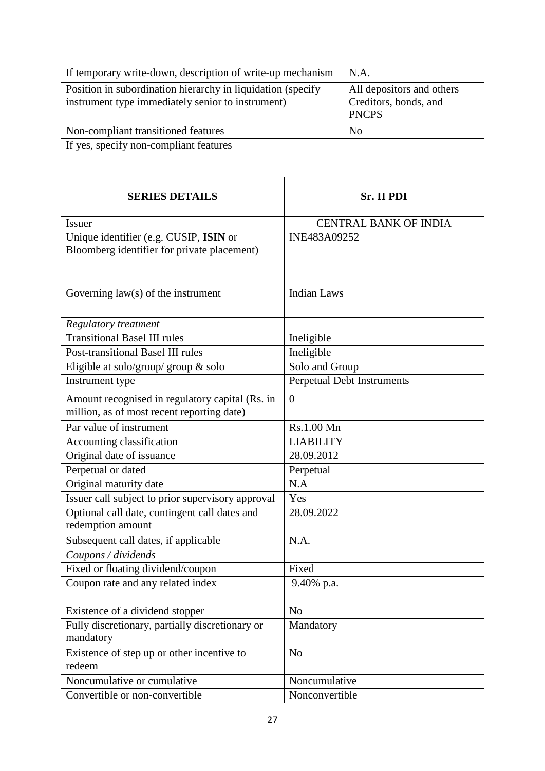| If temporary write-down, description of write-up mechanism                                                       | N.A.                                                               |
|------------------------------------------------------------------------------------------------------------------|--------------------------------------------------------------------|
| Position in subordination hierarchy in liquidation (specify<br>instrument type immediately senior to instrument) | All depositors and others<br>Creditors, bonds, and<br><b>PNCPS</b> |
| Non-compliant transitioned features                                                                              | N <sub>o</sub>                                                     |
| If yes, specify non-compliant features                                                                           |                                                                    |

| <b>SERIES DETAILS</b>                                                                         | Sr. II PDI                        |
|-----------------------------------------------------------------------------------------------|-----------------------------------|
| Issuer                                                                                        | <b>CENTRAL BANK OF INDIA</b>      |
| Unique identifier (e.g. CUSIP, ISIN or<br>Bloomberg identifier for private placement)         | INE483A09252                      |
| Governing $law(s)$ of the instrument                                                          | <b>Indian Laws</b>                |
| <b>Regulatory treatment</b>                                                                   |                                   |
| <b>Transitional Basel III rules</b>                                                           | Ineligible                        |
| Post-transitional Basel III rules                                                             | Ineligible                        |
| Eligible at solo/group/ group $\&$ solo                                                       | Solo and Group                    |
| Instrument type                                                                               | <b>Perpetual Debt Instruments</b> |
| Amount recognised in regulatory capital (Rs. in<br>million, as of most recent reporting date) | $\overline{0}$                    |
| Par value of instrument                                                                       | Rs.1.00 Mn                        |
| Accounting classification                                                                     | <b>LIABILITY</b>                  |
| Original date of issuance                                                                     | 28.09.2012                        |
| Perpetual or dated                                                                            | Perpetual                         |
| Original maturity date                                                                        | N.A                               |
| Issuer call subject to prior supervisory approval                                             | Yes                               |
| Optional call date, contingent call dates and<br>redemption amount                            | 28.09.2022                        |
| Subsequent call dates, if applicable                                                          | N.A.                              |
| Coupons / dividends                                                                           |                                   |
| Fixed or floating dividend/coupon                                                             | Fixed                             |
| Coupon rate and any related index                                                             | 9.40% p.a.                        |
| Existence of a dividend stopper                                                               | N <sub>o</sub>                    |
| Fully discretionary, partially discretionary or<br>mandatory                                  | Mandatory                         |
| Existence of step up or other incentive to<br>redeem                                          | N <sub>o</sub>                    |
| Noncumulative or cumulative                                                                   | Noncumulative                     |
| Convertible or non-convertible                                                                | Nonconvertible                    |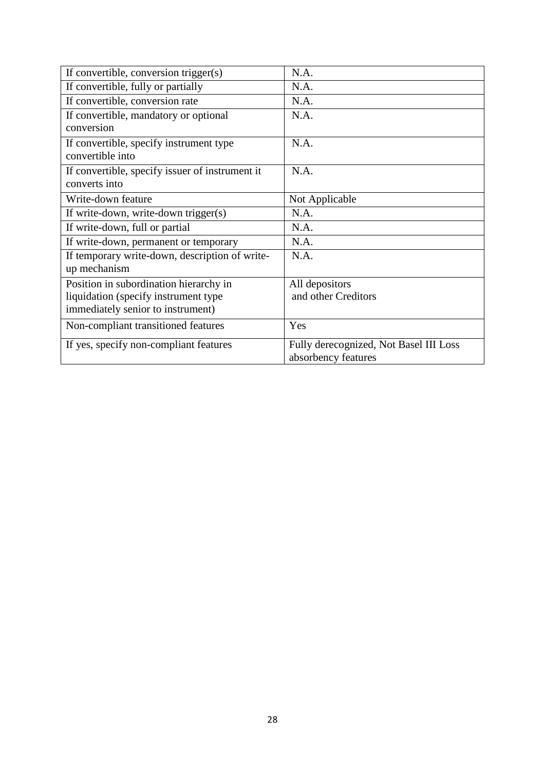| If convertible, conversion trigger(s)           | N.A.                                                          |
|-------------------------------------------------|---------------------------------------------------------------|
| If convertible, fully or partially              | N.A.                                                          |
| If convertible, conversion rate                 | N.A.                                                          |
| If convertible, mandatory or optional           | N.A.                                                          |
| conversion                                      |                                                               |
| If convertible, specify instrument type         | N.A.                                                          |
| convertible into                                |                                                               |
| If convertible, specify issuer of instrument it | N.A.                                                          |
| converts into                                   |                                                               |
| Write-down feature                              | Not Applicable                                                |
| If write-down, write-down trigger(s)            | N.A.                                                          |
| If write-down, full or partial                  | N.A.                                                          |
| If write-down, permanent or temporary           | N.A.                                                          |
| If temporary write-down, description of write-  | N.A.                                                          |
| up mechanism                                    |                                                               |
| Position in subordination hierarchy in          | All depositors                                                |
| liquidation (specify instrument type)           | and other Creditors                                           |
| immediately senior to instrument)               |                                                               |
| Non-compliant transitioned features             | Yes                                                           |
| If yes, specify non-compliant features          | Fully derecognized, Not Basel III Loss<br>absorbency features |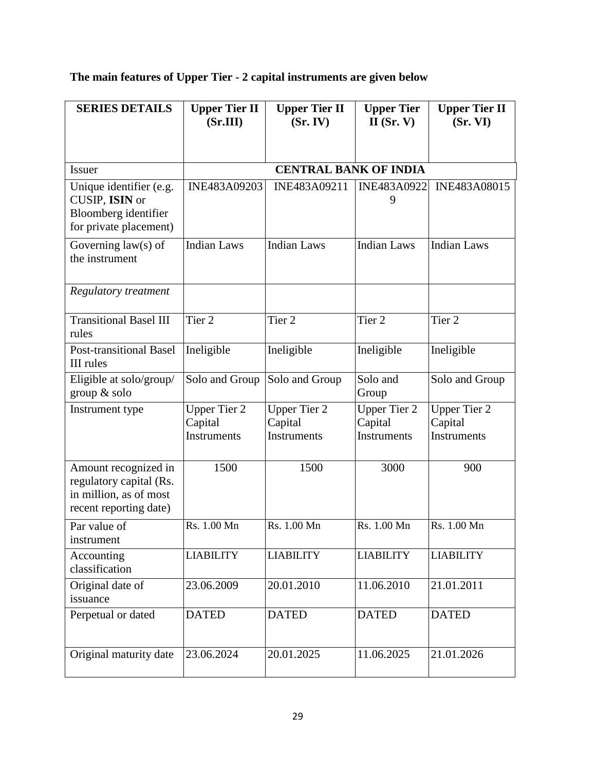# **The main features of Upper Tier - 2 capital instruments are given below**

| <b>SERIES DETAILS</b>                                                                               | <b>Upper Tier II</b><br>(Sr.III)                     | <b>Upper Tier II</b><br>(Sr. IV)                     | <b>Upper Tier</b><br>$II$ (Sr. V)                    | <b>Upper Tier II</b><br>(Sr. VI)              |
|-----------------------------------------------------------------------------------------------------|------------------------------------------------------|------------------------------------------------------|------------------------------------------------------|-----------------------------------------------|
|                                                                                                     |                                                      |                                                      |                                                      |                                               |
| <b>Issuer</b>                                                                                       |                                                      | <b>CENTRAL BANK OF INDIA</b>                         |                                                      |                                               |
| Unique identifier (e.g.<br>CUSIP, ISIN or<br>Bloomberg identifier<br>for private placement)         | INE483A09203                                         | INE483A09211                                         | <b>INE483A0922</b><br>9                              | INE483A08015                                  |
| Governing $law(s)$ of<br>the instrument                                                             | <b>Indian Laws</b>                                   | <b>Indian Laws</b>                                   | <b>Indian Laws</b>                                   | <b>Indian Laws</b>                            |
| Regulatory treatment                                                                                |                                                      |                                                      |                                                      |                                               |
| <b>Transitional Basel III</b><br>rules                                                              | Tier <sub>2</sub>                                    | Tier <sub>2</sub>                                    | Tier <sub>2</sub>                                    | Tier <sub>2</sub>                             |
| <b>Post-transitional Basel</b><br>III rules                                                         | Ineligible                                           | Ineligible                                           | Ineligible                                           | Ineligible                                    |
| Eligible at solo/group/<br>group $&$ solo                                                           | Solo and Group                                       | Solo and Group                                       | Solo and<br>Group                                    | Solo and Group                                |
| Instrument type                                                                                     | <b>Upper Tier 2</b><br>Capital<br><b>Instruments</b> | <b>Upper Tier 2</b><br>Capital<br><b>Instruments</b> | <b>Upper Tier 2</b><br>Capital<br><b>Instruments</b> | <b>Upper Tier 2</b><br>Capital<br>Instruments |
| Amount recognized in<br>regulatory capital (Rs.<br>in million, as of most<br>recent reporting date) | 1500                                                 | 1500                                                 | 3000                                                 | 900                                           |
| Par value of<br>instrument                                                                          | Rs. 1.00 Mn                                          | Rs. 1.00 Mn                                          | Rs. 1.00 Mn                                          | Rs. 1.00 Mn                                   |
| Accounting<br>classification                                                                        | <b>LIABILITY</b>                                     | <b>LIABILITY</b>                                     | <b>LIABILITY</b>                                     | <b>LIABILITY</b>                              |
| Original date of<br>issuance                                                                        | 23.06.2009                                           | 20.01.2010                                           | 11.06.2010                                           | 21.01.2011                                    |
| Perpetual or dated                                                                                  | <b>DATED</b>                                         | <b>DATED</b>                                         | <b>DATED</b>                                         | <b>DATED</b>                                  |
| Original maturity date                                                                              | 23.06.2024                                           | 20.01.2025                                           | 11.06.2025                                           | 21.01.2026                                    |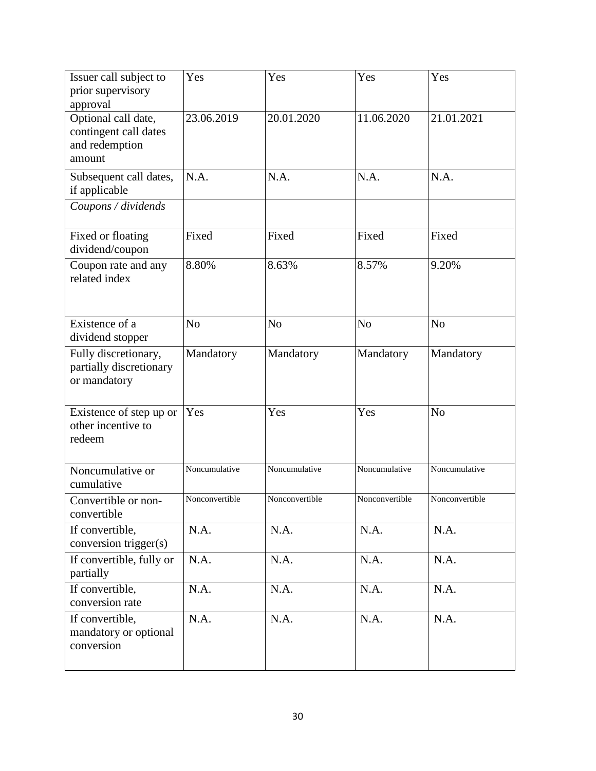| Issuer call subject to<br>prior supervisory<br>approval                  | Yes            | Yes            | Yes            | Yes            |
|--------------------------------------------------------------------------|----------------|----------------|----------------|----------------|
| Optional call date,<br>contingent call dates<br>and redemption<br>amount | 23.06.2019     | 20.01.2020     | 11.06.2020     | 21.01.2021     |
| Subsequent call dates,<br>if applicable<br>Coupons / dividends           | N.A.           | N.A.           | N.A.           | N.A.           |
|                                                                          |                |                |                |                |
| Fixed or floating<br>dividend/coupon                                     | Fixed          | Fixed          | Fixed          | Fixed          |
| Coupon rate and any<br>related index                                     | 8.80%          | 8.63%          | 8.57%          | 9.20%          |
| Existence of a<br>dividend stopper                                       | N <sub>0</sub> | N <sub>o</sub> | N <sub>o</sub> | N <sub>o</sub> |
| Fully discretionary,<br>partially discretionary<br>or mandatory          | Mandatory      | Mandatory      | Mandatory      | Mandatory      |
| Existence of step up or<br>other incentive to<br>redeem                  | Yes            | Yes            | Yes            | N <sub>o</sub> |
| Noncumulative or<br>cumulative                                           | Noncumulative  | Noncumulative  | Noncumulative  | Noncumulative  |
| Convertible or non-<br>convertible                                       | Nonconvertible | Nonconvertible | Nonconvertible | Nonconvertible |
| If convertible,<br>conversion trigger(s)                                 | N.A.           | N.A.           | N.A.           | N.A.           |
| If convertible, fully or<br>partially                                    | N.A.           | N.A.           | N.A.           | N.A.           |
| If convertible,<br>conversion rate                                       | N.A.           | N.A.           | N.A.           | N.A.           |
| If convertible,<br>mandatory or optional<br>conversion                   | N.A.           | N.A.           | N.A.           | N.A.           |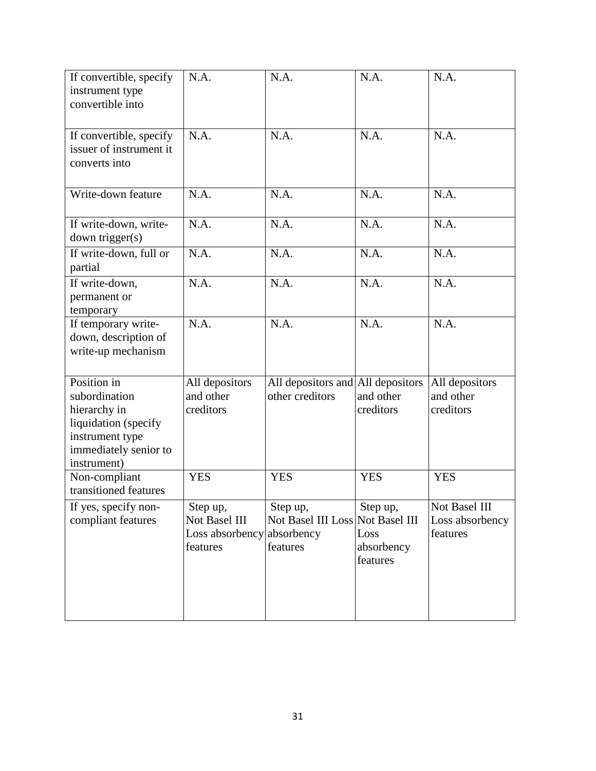| If convertible, specify<br>instrument type<br>convertible into                                                                  | N.A.                                                                | N.A.                                                     | N.A.                                       | N.A.                                         |
|---------------------------------------------------------------------------------------------------------------------------------|---------------------------------------------------------------------|----------------------------------------------------------|--------------------------------------------|----------------------------------------------|
| If convertible, specify<br>issuer of instrument it<br>converts into                                                             | N.A.                                                                | N.A.                                                     | N.A.                                       | N.A.                                         |
| Write-down feature                                                                                                              | N.A.                                                                | N.A.                                                     | N.A.                                       | N.A.                                         |
| If write-down, write-<br>down trigger(s)                                                                                        | N.A.                                                                | N.A.                                                     | N.A.                                       | N.A.                                         |
| If write-down, full or<br>partial                                                                                               | N.A.                                                                | N.A.                                                     | N.A.                                       | N.A.                                         |
| If write-down,<br>permanent or<br>temporary                                                                                     | N.A.                                                                | N.A.                                                     | N.A.                                       | N.A.                                         |
| If temporary write-<br>down, description of<br>write-up mechanism                                                               | N.A.                                                                | N.A.                                                     | N.A.                                       | N.A.                                         |
| Position in<br>subordination<br>hierarchy in<br>liquidation (specify<br>instrument type<br>immediately senior to<br>instrument) | All depositors<br>and other<br>creditors                            | All depositors and All depositors<br>other creditors     | and other<br>creditors                     | All depositors<br>and other<br>creditors     |
| Non-compliant<br>transitioned features                                                                                          | <b>YES</b>                                                          | <b>YES</b>                                               | <b>YES</b>                                 | <b>YES</b>                                   |
| If yes, specify non-<br>compliant features                                                                                      | Step up,<br>Not Basel III<br>Loss absorbency absorbency<br>features | Step up,<br>Not Basel III Loss Not Basel III<br>features | Step up,<br>Loss<br>absorbency<br>features | Not Basel III<br>Loss absorbency<br>features |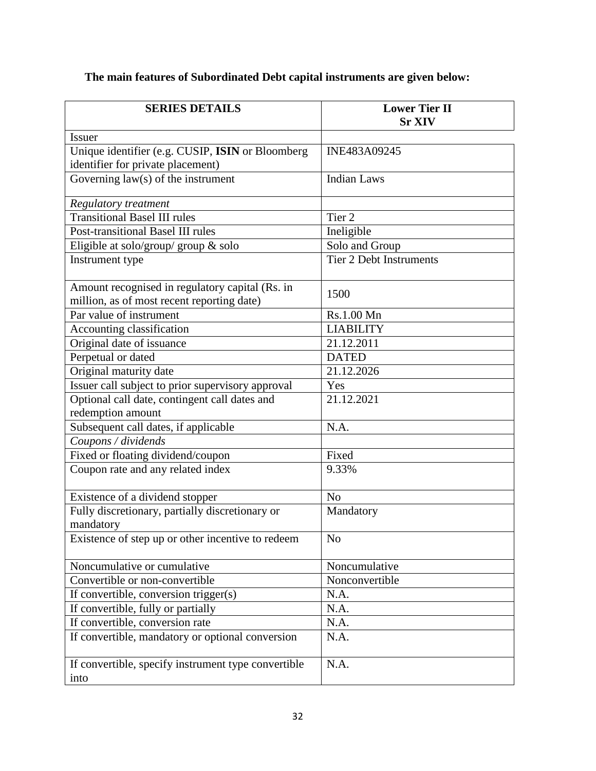# **The main features of Subordinated Debt capital instruments are given below:**

| <b>SERIES DETAILS</b>                               | <b>Lower Tier II</b><br><b>Sr XIV</b> |
|-----------------------------------------------------|---------------------------------------|
| <b>Issuer</b>                                       |                                       |
| Unique identifier (e.g. CUSIP, ISIN or Bloomberg    | INE483A09245                          |
| identifier for private placement)                   |                                       |
| Governing $law(s)$ of the instrument                | <b>Indian Laws</b>                    |
|                                                     |                                       |
| <b>Regulatory treatment</b>                         |                                       |
| <b>Transitional Basel III rules</b>                 | Tier <sub>2</sub>                     |
| Post-transitional Basel III rules                   | Ineligible                            |
| Eligible at solo/group/ group $\&$ solo             | Solo and Group                        |
| Instrument type                                     | <b>Tier 2 Debt Instruments</b>        |
|                                                     |                                       |
| Amount recognised in regulatory capital (Rs. in     | 1500                                  |
| million, as of most recent reporting date)          |                                       |
| Par value of instrument                             | Rs.1.00 Mn                            |
| Accounting classification                           | <b>LIABILITY</b>                      |
| Original date of issuance                           | 21.12.2011                            |
| Perpetual or dated                                  | <b>DATED</b>                          |
| Original maturity date                              | 21.12.2026                            |
| Issuer call subject to prior supervisory approval   | Yes                                   |
| Optional call date, contingent call dates and       | 21.12.2021                            |
| redemption amount                                   |                                       |
| Subsequent call dates, if applicable                | N.A.                                  |
| Coupons / dividends                                 |                                       |
| Fixed or floating dividend/coupon                   | Fixed                                 |
| Coupon rate and any related index                   | 9.33%                                 |
|                                                     |                                       |
| Existence of a dividend stopper                     | No                                    |
| Fully discretionary, partially discretionary or     | Mandatory                             |
| mandatory                                           |                                       |
| Existence of step up or other incentive to redeem   | N <sub>o</sub>                        |
|                                                     |                                       |
| Noncumulative or cumulative                         | Noncumulative                         |
| Convertible or non-convertible                      | Nonconvertible                        |
| If convertible, conversion trigger(s)               | N.A.                                  |
| If convertible, fully or partially                  | N.A.                                  |
| If convertible, conversion rate                     | N.A.                                  |
| If convertible, mandatory or optional conversion    | N.A.                                  |
|                                                     |                                       |
| If convertible, specify instrument type convertible | N.A.                                  |
| into                                                |                                       |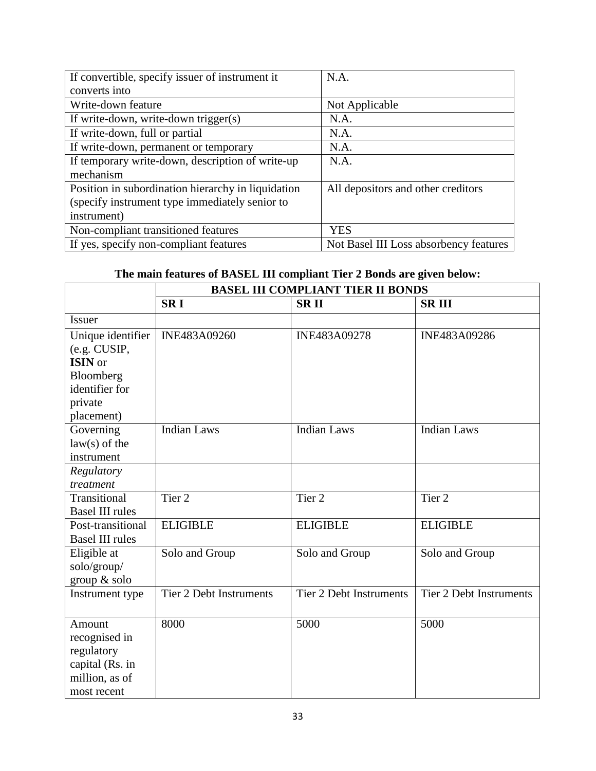| If convertible, specify issuer of instrument it    | N.A.                                   |
|----------------------------------------------------|----------------------------------------|
| converts into                                      |                                        |
| Write-down feature                                 | Not Applicable                         |
| If write-down, write-down trigger(s)               | N.A.                                   |
| If write-down, full or partial                     | N.A.                                   |
| If write-down, permanent or temporary              | N.A.                                   |
| If temporary write-down, description of write-up   | N.A.                                   |
| mechanism                                          |                                        |
| Position in subordination hierarchy in liquidation | All depositors and other creditors     |
| (specify instrument type immediately senior to     |                                        |
| instrument)                                        |                                        |
| Non-compliant transitioned features                | <b>YES</b>                             |
| If yes, specify non-compliant features             | Not Basel III Loss absorbency features |

## **The main features of BASEL III compliant Tier 2 Bonds are given below:**

|                                              | <b>BASEL III COMPLIANT TIER II BONDS</b> |                                |                                |  |
|----------------------------------------------|------------------------------------------|--------------------------------|--------------------------------|--|
|                                              | <b>SRI</b>                               | <b>SRII</b>                    | <b>SRIII</b>                   |  |
| <b>Issuer</b>                                |                                          |                                |                                |  |
| Unique identifier<br>(e.g. CUSIP,<br>ISIN or | INE483A09260                             | INE483A09278                   | INE483A09286                   |  |
| Bloomberg                                    |                                          |                                |                                |  |
| identifier for                               |                                          |                                |                                |  |
| private                                      |                                          |                                |                                |  |
| placement)                                   |                                          |                                |                                |  |
| Governing<br>$law(s)$ of the                 | <b>Indian Laws</b>                       | <b>Indian Laws</b>             | <b>Indian Laws</b>             |  |
| instrument                                   |                                          |                                |                                |  |
| Regulatory                                   |                                          |                                |                                |  |
| treatment                                    |                                          |                                |                                |  |
| Transitional                                 | Tier <sub>2</sub>                        | Tier <sub>2</sub>              | Tier <sub>2</sub>              |  |
| <b>Basel III rules</b>                       |                                          |                                |                                |  |
| Post-transitional<br><b>Basel III rules</b>  | <b>ELIGIBLE</b>                          | <b>ELIGIBLE</b>                | <b>ELIGIBLE</b>                |  |
| Eligible at<br>solo/group/<br>group & solo   | Solo and Group                           | Solo and Group                 | Solo and Group                 |  |
| Instrument type                              | <b>Tier 2 Debt Instruments</b>           | <b>Tier 2 Debt Instruments</b> | <b>Tier 2 Debt Instruments</b> |  |
| Amount                                       | 8000                                     | 5000                           | 5000                           |  |
| recognised in                                |                                          |                                |                                |  |
| regulatory                                   |                                          |                                |                                |  |
| capital (Rs. in                              |                                          |                                |                                |  |
| million, as of                               |                                          |                                |                                |  |
| most recent                                  |                                          |                                |                                |  |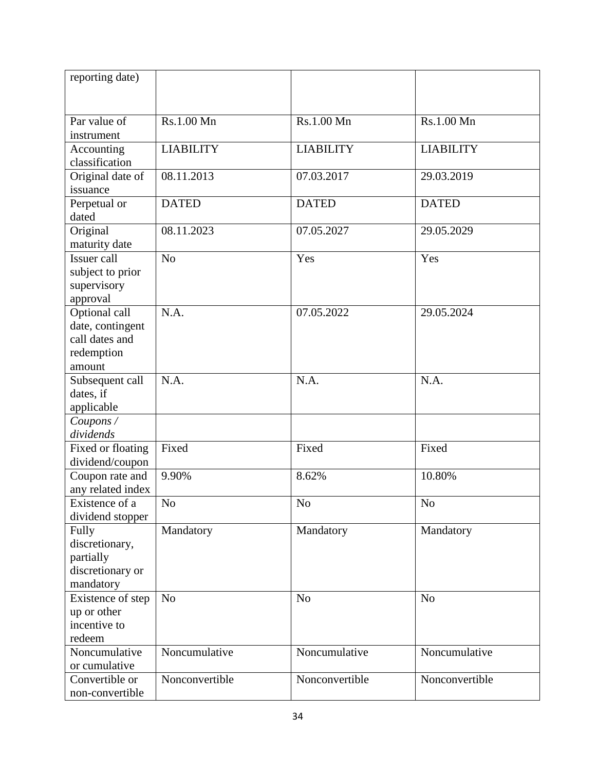| reporting date)                    |                  |                  |                  |
|------------------------------------|------------------|------------------|------------------|
|                                    |                  |                  |                  |
|                                    |                  |                  |                  |
| Par value of<br>instrument         | Rs.1.00 Mn       | Rs.1.00 Mn       | Rs.1.00 Mn       |
| Accounting                         | <b>LIABILITY</b> | <b>LIABILITY</b> | <b>LIABILITY</b> |
| classification                     |                  |                  |                  |
| Original date of                   | 08.11.2013       | 07.03.2017       | 29.03.2019       |
| issuance                           |                  |                  |                  |
| Perpetual or                       | <b>DATED</b>     | <b>DATED</b>     | <b>DATED</b>     |
| dated                              |                  |                  |                  |
| Original                           | 08.11.2023       | 07.05.2027       | 29.05.2029       |
| maturity date                      |                  |                  |                  |
| Issuer call                        | N <sub>o</sub>   | Yes              | Yes              |
| subject to prior                   |                  |                  |                  |
| supervisory                        |                  |                  |                  |
| approval<br>Optional call          | N.A.             | 07.05.2022       | 29.05.2024       |
| date, contingent                   |                  |                  |                  |
| call dates and                     |                  |                  |                  |
| redemption                         |                  |                  |                  |
| amount                             |                  |                  |                  |
| Subsequent call                    | N.A.             | N.A.             | N.A.             |
| dates, if                          |                  |                  |                  |
| applicable                         |                  |                  |                  |
| Coupons /                          |                  |                  |                  |
| dividends                          |                  |                  |                  |
| Fixed or floating                  | Fixed            | Fixed            | Fixed            |
| dividend/coupon                    |                  |                  |                  |
| Coupon rate and                    | 9.90%            | 8.62%            | 10.80%           |
| any related index                  |                  |                  |                  |
| Existence of a<br>dividend stopper | N <sub>o</sub>   | No               | No               |
| Fully                              | Mandatory        | Mandatory        | Mandatory        |
| discretionary,                     |                  |                  |                  |
| partially                          |                  |                  |                  |
| discretionary or                   |                  |                  |                  |
| mandatory                          |                  |                  |                  |
| Existence of step                  | N <sub>o</sub>   | N <sub>o</sub>   | N <sub>o</sub>   |
| up or other                        |                  |                  |                  |
| incentive to                       |                  |                  |                  |
| redeem                             |                  |                  |                  |
| Noncumulative                      | Noncumulative    | Noncumulative    | Noncumulative    |
| or cumulative                      |                  |                  |                  |
| Convertible or                     | Nonconvertible   | Nonconvertible   | Nonconvertible   |
| non-convertible                    |                  |                  |                  |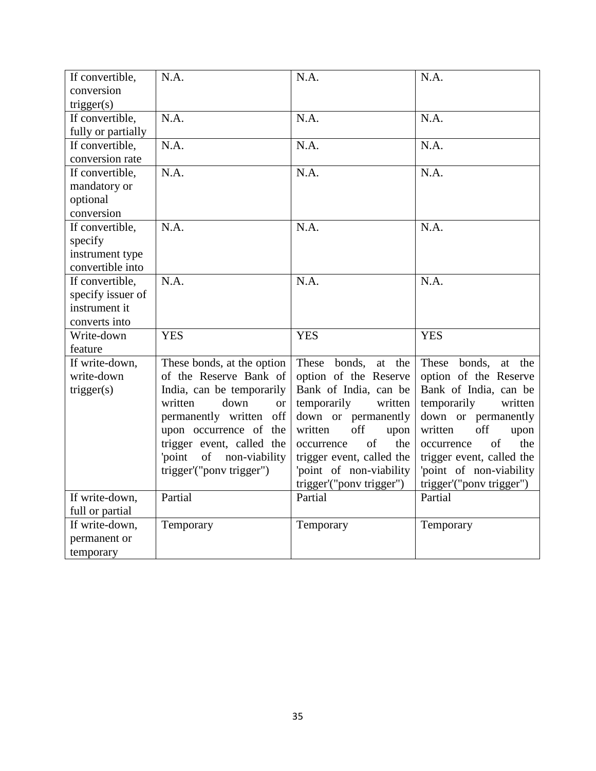| If convertible,    | N.A.                             | N.A.                      | N.A.                      |
|--------------------|----------------------------------|---------------------------|---------------------------|
| conversion         |                                  |                           |                           |
| trigger(s)         |                                  |                           |                           |
| If convertible,    | N.A.                             | N.A.                      | N.A.                      |
| fully or partially |                                  |                           |                           |
| If convertible,    | N.A.                             | N.A.                      | N.A.                      |
| conversion rate    |                                  |                           |                           |
| If convertible,    | N.A.                             | N.A.                      | N.A.                      |
| mandatory or       |                                  |                           |                           |
| optional           |                                  |                           |                           |
| conversion         |                                  |                           |                           |
| If convertible,    | N.A.                             | N.A.                      | N.A.                      |
| specify            |                                  |                           |                           |
| instrument type    |                                  |                           |                           |
| convertible into   |                                  |                           |                           |
| If convertible,    | N.A.                             | N.A.                      | N.A.                      |
| specify issuer of  |                                  |                           |                           |
| instrument it      |                                  |                           |                           |
| converts into      |                                  |                           |                           |
| Write-down         | <b>YES</b>                       | <b>YES</b>                | <b>YES</b>                |
| feature            |                                  |                           |                           |
| If write-down,     | These bonds, at the option       | These bonds, at the       | These bonds, at the       |
| write-down         | of the Reserve Bank of           | option of the Reserve     | option of the Reserve     |
| trigger(s)         | India, can be temporarily        | Bank of India, can be     | Bank of India, can be     |
|                    | down<br>written<br><sub>or</sub> | temporarily<br>written    | temporarily<br>written    |
|                    | permanently written<br>off       | down or permanently       | down or permanently       |
|                    | upon occurrence of the           | off<br>written<br>upon    | written<br>off<br>upon    |
|                    | trigger event, called the        | of<br>the<br>occurrence   | the<br>of<br>occurrence   |
|                    | 'point<br>of non-viability       | trigger event, called the | trigger event, called the |
|                    | trigger'("ponv trigger")         | 'point of non-viability   | 'point of non-viability   |
|                    |                                  | trigger'("ponv trigger")  | trigger'("ponv trigger")  |
| If write-down,     | Partial                          | Partial                   | Partial                   |
| full or partial    |                                  |                           |                           |
| If write-down,     | Temporary                        | Temporary                 | Temporary                 |
| permanent or       |                                  |                           |                           |
| temporary          |                                  |                           |                           |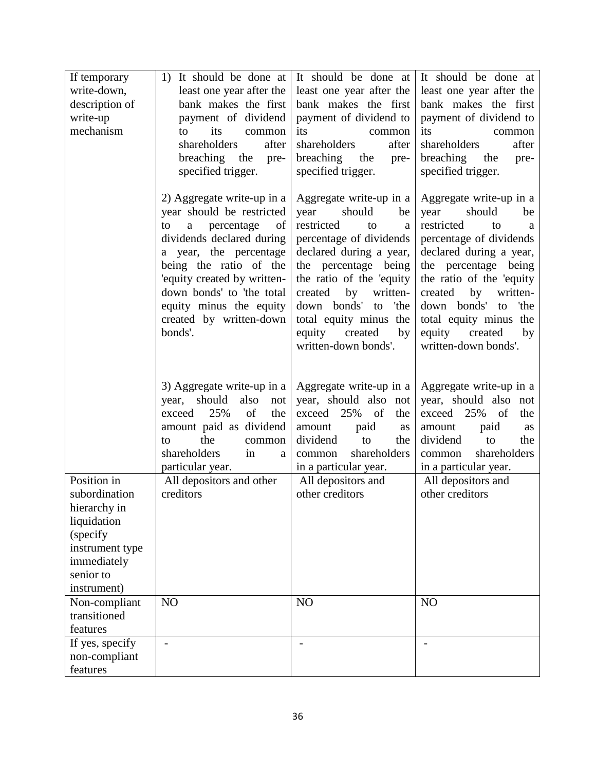| If temporary                   | 1) It should be done at                                                                                                                                                                                                                                                                              | It should be done at                                                                                                                                                                                                                                                                                                | It should be done at                                                                                                                                                                                                                                                                                                      |
|--------------------------------|------------------------------------------------------------------------------------------------------------------------------------------------------------------------------------------------------------------------------------------------------------------------------------------------------|---------------------------------------------------------------------------------------------------------------------------------------------------------------------------------------------------------------------------------------------------------------------------------------------------------------------|---------------------------------------------------------------------------------------------------------------------------------------------------------------------------------------------------------------------------------------------------------------------------------------------------------------------------|
| write-down,                    | least one year after the                                                                                                                                                                                                                                                                             | least one year after the                                                                                                                                                                                                                                                                                            | least one year after the                                                                                                                                                                                                                                                                                                  |
| description of                 | bank makes the first                                                                                                                                                                                                                                                                                 | bank makes the first                                                                                                                                                                                                                                                                                                | bank makes the first                                                                                                                                                                                                                                                                                                      |
| write-up                       | payment of dividend                                                                                                                                                                                                                                                                                  | payment of dividend to                                                                                                                                                                                                                                                                                              | payment of dividend to                                                                                                                                                                                                                                                                                                    |
| mechanism                      | its<br>to<br>common                                                                                                                                                                                                                                                                                  | its<br>common                                                                                                                                                                                                                                                                                                       | its<br>common                                                                                                                                                                                                                                                                                                             |
|                                | shareholders<br>after                                                                                                                                                                                                                                                                                | shareholders<br>after                                                                                                                                                                                                                                                                                               | shareholders<br>after                                                                                                                                                                                                                                                                                                     |
|                                | breaching the<br>pre-                                                                                                                                                                                                                                                                                | breaching<br>the<br>pre-                                                                                                                                                                                                                                                                                            | breaching<br>the<br>pre-                                                                                                                                                                                                                                                                                                  |
|                                | specified trigger.                                                                                                                                                                                                                                                                                   | specified trigger.                                                                                                                                                                                                                                                                                                  | specified trigger.                                                                                                                                                                                                                                                                                                        |
|                                | 2) Aggregate write-up in a<br>year should be restricted<br>percentage<br>of<br>to<br>a<br>dividends declared during<br>a year, the percentage<br>being the ratio of the<br>'equity created by written-<br>down bonds' to 'the total<br>equity minus the equity<br>created by written-down<br>bonds'. | Aggregate write-up in a<br>should<br>year<br>be<br>restricted<br>to<br>a<br>percentage of dividends<br>declared during a year,<br>the percentage being<br>the ratio of the 'equity<br>written-<br>created<br>by<br>down bonds' to<br>'the<br>total equity minus the<br>equity created<br>by<br>written-down bonds'. | Aggregate write-up in a<br>should<br>year<br>be<br>restricted<br>to<br>a<br>percentage of dividends<br>declared during a year,<br>the percentage being<br>the ratio of the 'equity<br>by<br>written-<br>created<br>down bonds'<br>'the<br>to<br>total equity minus the<br>equity<br>created<br>by<br>written-down bonds'. |
|                                | 3) Aggregate write-up in a<br>year, should<br>also<br>not<br>of<br>25%<br>the<br>exceed<br>amount paid as dividend<br>the<br>to<br>common<br>shareholders<br>in<br>a<br>particular year.                                                                                                             | Aggregate write-up in a<br>year, should also not<br>exceed 25%<br>of<br>the<br>paid<br>amount<br>as<br>dividend<br>to<br>the<br>shareholders<br>common<br>in a particular year.                                                                                                                                     | Aggregate write-up in a<br>year, should also not<br>exceed 25%<br>of<br>the<br>paid<br>amount<br>as<br>dividend<br>to<br>the<br>shareholders<br>common<br>in a particular year.                                                                                                                                           |
| Position in                    | All depositors and other                                                                                                                                                                                                                                                                             | All depositors and                                                                                                                                                                                                                                                                                                  | All depositors and                                                                                                                                                                                                                                                                                                        |
| subordination                  | creditors                                                                                                                                                                                                                                                                                            | other creditors                                                                                                                                                                                                                                                                                                     | other creditors                                                                                                                                                                                                                                                                                                           |
| hierarchy in                   |                                                                                                                                                                                                                                                                                                      |                                                                                                                                                                                                                                                                                                                     |                                                                                                                                                                                                                                                                                                                           |
| liquidation                    |                                                                                                                                                                                                                                                                                                      |                                                                                                                                                                                                                                                                                                                     |                                                                                                                                                                                                                                                                                                                           |
| (specify                       |                                                                                                                                                                                                                                                                                                      |                                                                                                                                                                                                                                                                                                                     |                                                                                                                                                                                                                                                                                                                           |
| instrument type<br>immediately |                                                                                                                                                                                                                                                                                                      |                                                                                                                                                                                                                                                                                                                     |                                                                                                                                                                                                                                                                                                                           |
| senior to                      |                                                                                                                                                                                                                                                                                                      |                                                                                                                                                                                                                                                                                                                     |                                                                                                                                                                                                                                                                                                                           |
| instrument)                    |                                                                                                                                                                                                                                                                                                      |                                                                                                                                                                                                                                                                                                                     |                                                                                                                                                                                                                                                                                                                           |
| Non-compliant                  | NO                                                                                                                                                                                                                                                                                                   | NO                                                                                                                                                                                                                                                                                                                  | NO                                                                                                                                                                                                                                                                                                                        |
| transitioned                   |                                                                                                                                                                                                                                                                                                      |                                                                                                                                                                                                                                                                                                                     |                                                                                                                                                                                                                                                                                                                           |
| features                       |                                                                                                                                                                                                                                                                                                      |                                                                                                                                                                                                                                                                                                                     |                                                                                                                                                                                                                                                                                                                           |
| If yes, specify                |                                                                                                                                                                                                                                                                                                      | $\overline{\phantom{a}}$                                                                                                                                                                                                                                                                                            | $\overline{\phantom{a}}$                                                                                                                                                                                                                                                                                                  |
| non-compliant                  |                                                                                                                                                                                                                                                                                                      |                                                                                                                                                                                                                                                                                                                     |                                                                                                                                                                                                                                                                                                                           |
| features                       |                                                                                                                                                                                                                                                                                                      |                                                                                                                                                                                                                                                                                                                     |                                                                                                                                                                                                                                                                                                                           |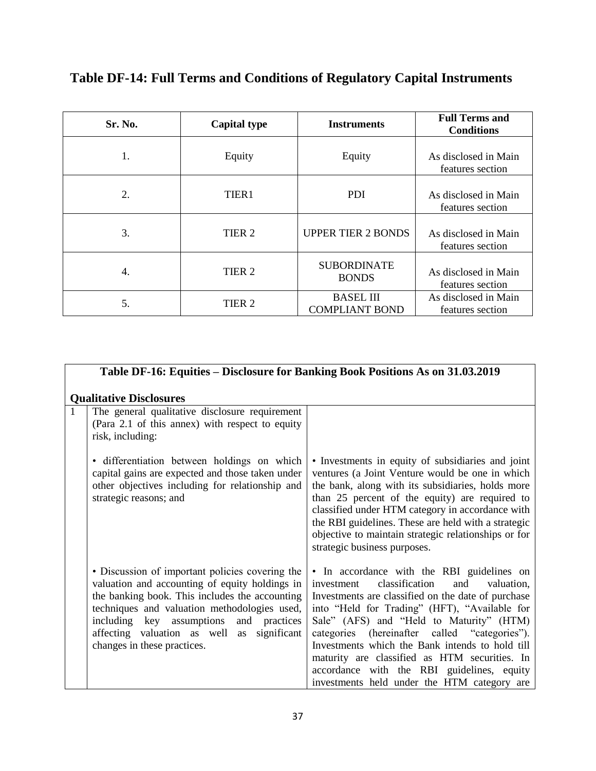| Sr. No. | <b>Capital type</b> | <b>Instruments</b>                        | <b>Full Terms and</b><br><b>Conditions</b> |
|---------|---------------------|-------------------------------------------|--------------------------------------------|
| ı.      | Equity              | Equity                                    | As disclosed in Main<br>features section   |
| 2.      | TIER1               | <b>PDI</b>                                | As disclosed in Main<br>features section   |
| 3.      | TIER <sub>2</sub>   | <b>UPPER TIER 2 BONDS</b>                 | As disclosed in Main<br>features section   |
| 4.      | TIER <sub>2</sub>   | <b>SUBORDINATE</b><br><b>BONDS</b>        | As disclosed in Main<br>features section   |
| 5.      | TIER <sub>2</sub>   | <b>BASEL III</b><br><b>COMPLIANT BOND</b> | As disclosed in Main<br>features section   |

# **Table DF-14: Full Terms and Conditions of Regulatory Capital Instruments**

| Table DF-16: Equities - Disclosure for Banking Book Positions As on 31.03.2019                                                                                                                                                                                                                                                    |                                                                                                                                                                                                                                                                                                                                                                                                                                                                                                      |  |
|-----------------------------------------------------------------------------------------------------------------------------------------------------------------------------------------------------------------------------------------------------------------------------------------------------------------------------------|------------------------------------------------------------------------------------------------------------------------------------------------------------------------------------------------------------------------------------------------------------------------------------------------------------------------------------------------------------------------------------------------------------------------------------------------------------------------------------------------------|--|
| <b>Qualitative Disclosures</b>                                                                                                                                                                                                                                                                                                    |                                                                                                                                                                                                                                                                                                                                                                                                                                                                                                      |  |
| The general qualitative disclosure requirement<br>(Para 2.1 of this annex) with respect to equity<br>risk, including:                                                                                                                                                                                                             |                                                                                                                                                                                                                                                                                                                                                                                                                                                                                                      |  |
| • differentiation between holdings on which<br>capital gains are expected and those taken under<br>other objectives including for relationship and<br>strategic reasons; and                                                                                                                                                      | • Investments in equity of subsidiaries and joint<br>ventures (a Joint Venture would be one in which<br>the bank, along with its subsidiaries, holds more<br>than 25 percent of the equity) are required to<br>classified under HTM category in accordance with<br>the RBI guidelines. These are held with a strategic<br>objective to maintain strategic relationships or for<br>strategic business purposes.                                                                                       |  |
| • Discussion of important policies covering the<br>valuation and accounting of equity holdings in<br>the banking book. This includes the accounting<br>techniques and valuation methodologies used,<br>including key assumptions<br>and<br>practices<br>affecting valuation as well as significant<br>changes in these practices. | • In accordance with the RBI guidelines on<br>classification<br>and<br>valuation,<br>investment<br>Investments are classified on the date of purchase<br>into "Held for Trading" (HFT), "Available for<br>Sale" (AFS) and "Held to Maturity" (HTM)<br>categories (hereinafter called "categories").<br>Investments which the Bank intends to hold till<br>maturity are classified as HTM securities. In<br>accordance with the RBI guidelines, equity<br>investments held under the HTM category are |  |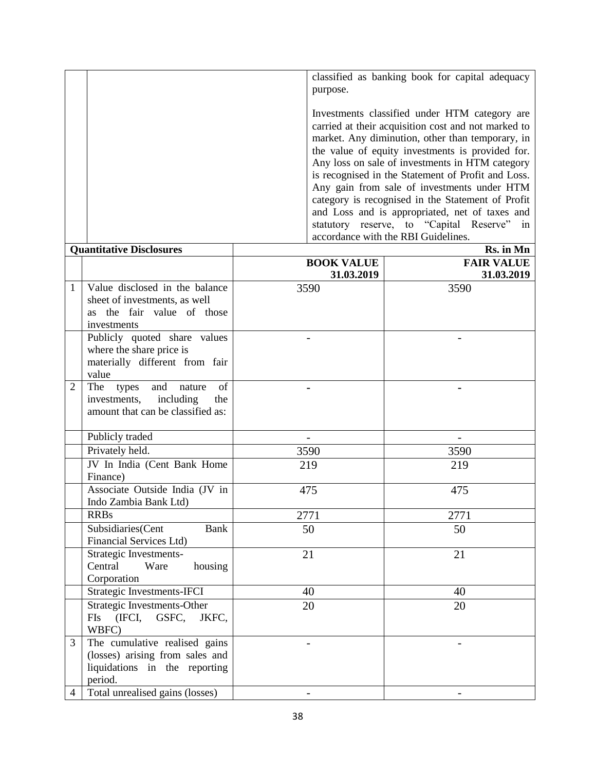classified as banking book for capital adequacy purpose. Investments classified under HTM category are carried at their acquisition cost and not marked to market. Any diminution, other than temporary, in the value of equity investments is provided for. Any loss on sale of investments in HTM category is recognised in the Statement of Profit and Loss. Any gain from sale of investments under HTM category is recognised in the Statement of Profit and Loss and is appropriated, net of taxes and statutory reserve, to "Capital Reserve" in accordance with the RBI Guidelines.

| <b>Quantitative Disclosures</b> |                                                                  |                   | Rs. in Mn         |
|---------------------------------|------------------------------------------------------------------|-------------------|-------------------|
|                                 |                                                                  | <b>BOOK VALUE</b> | <b>FAIR VALUE</b> |
|                                 |                                                                  | 31.03.2019        | 31.03.2019        |
| $\mathbf{1}$                    | Value disclosed in the balance                                   | 3590              | 3590              |
|                                 | sheet of investments, as well                                    |                   |                   |
|                                 | the fair value of those<br><b>as</b>                             |                   |                   |
|                                 | investments                                                      |                   |                   |
|                                 | Publicly quoted share values                                     |                   |                   |
|                                 | where the share price is                                         |                   |                   |
|                                 | materially different from fair                                   |                   |                   |
|                                 | value<br>The                                                     |                   |                   |
| $\overline{2}$                  | types<br>and<br>nature<br>of<br>investments,<br>including<br>the |                   |                   |
|                                 | amount that can be classified as:                                |                   |                   |
|                                 |                                                                  |                   |                   |
|                                 | Publicly traded                                                  |                   |                   |
|                                 | Privately held.                                                  | 3590              | 3590              |
|                                 | JV In India (Cent Bank Home                                      | 219               | 219               |
|                                 | Finance)                                                         |                   |                   |
|                                 | Associate Outside India (JV in                                   | 475               | 475               |
|                                 | Indo Zambia Bank Ltd)                                            |                   |                   |
|                                 | <b>RRBs</b>                                                      | 2771              | 2771              |
|                                 | Subsidiaries(Cent<br><b>Bank</b>                                 | 50                | 50                |
|                                 | Financial Services Ltd)                                          |                   |                   |
|                                 | Strategic Investments-                                           | 21                | 21                |
|                                 | Central<br>Ware<br>housing                                       |                   |                   |
|                                 | Corporation<br>Strategic Investments-IFCI                        | 40                | 40                |
|                                 | Strategic Investments-Other                                      | 20                | 20                |
|                                 | FIs (IFCI,<br>GSFC,<br>JKFC,                                     |                   |                   |
|                                 | WBFC)                                                            |                   |                   |
| 3                               | The cumulative realised gains                                    |                   |                   |
|                                 | (losses) arising from sales and                                  |                   |                   |
|                                 | liquidations in the reporting                                    |                   |                   |
|                                 | period.                                                          |                   |                   |
| 4                               | Total unrealised gains (losses)                                  |                   |                   |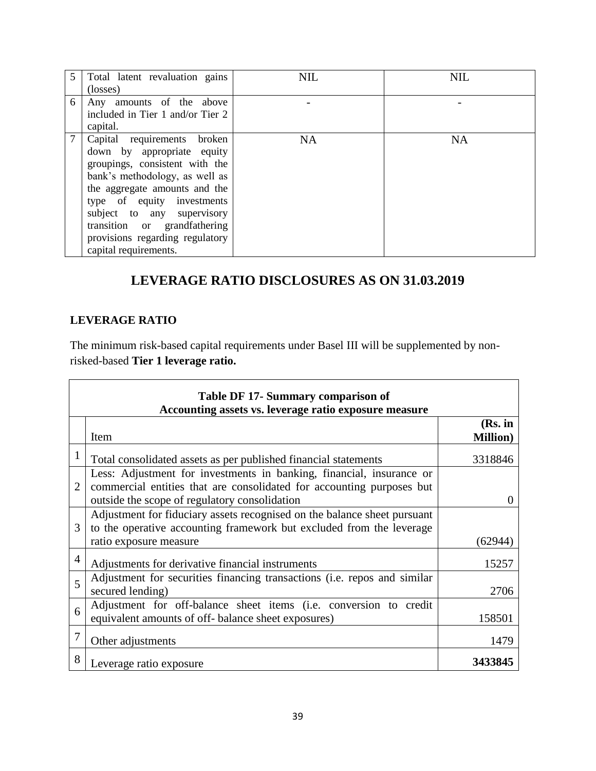| 5 | Total latent revaluation gains   | <b>NIL</b> | <b>NIL</b> |
|---|----------------------------------|------------|------------|
|   | (losses)                         |            |            |
| 6 | Any amounts of the above         |            |            |
|   | included in Tier 1 and/or Tier 2 |            |            |
|   | capital.                         |            |            |
|   | Capital requirements broken      | <b>NA</b>  | <b>NA</b>  |
|   | down by appropriate equity       |            |            |
|   | groupings, consistent with the   |            |            |
|   | bank's methodology, as well as   |            |            |
|   | the aggregate amounts and the    |            |            |
|   | type of equity investments       |            |            |
|   | subject to any supervisory       |            |            |
|   | transition or grandfathering     |            |            |
|   | provisions regarding regulatory  |            |            |
|   | capital requirements.            |            |            |

## **LEVERAGE RATIO DISCLOSURES AS ON 31.03.2019**

## **LEVERAGE RATIO**

The minimum risk-based capital requirements under Basel III will be supplemented by nonrisked-based **Tier 1 leverage ratio.** 

|                | <b>Table DF 17- Summary comparison of</b>                                                                                                                                                      |                             |  |
|----------------|------------------------------------------------------------------------------------------------------------------------------------------------------------------------------------------------|-----------------------------|--|
|                | Accounting assets vs. leverage ratio exposure measure<br>Item                                                                                                                                  | (Rs. in<br><b>Million</b> ) |  |
| 1              | Total consolidated assets as per published financial statements                                                                                                                                | 3318846                     |  |
| $\overline{2}$ | Less: Adjustment for investments in banking, financial, insurance or<br>commercial entities that are consolidated for accounting purposes but<br>outside the scope of regulatory consolidation |                             |  |
| 3              | Adjustment for fiduciary assets recognised on the balance sheet pursuant<br>to the operative accounting framework but excluded from the leverage<br>ratio exposure measure                     | (62944                      |  |
| $\overline{4}$ | Adjustments for derivative financial instruments                                                                                                                                               | 15257                       |  |
| 5              | Adjustment for securities financing transactions (i.e. repos and similar<br>secured lending)                                                                                                   | 2706                        |  |
| 6              | Adjustment for off-balance sheet items (i.e. conversion to credit<br>equivalent amounts of off-balance sheet exposures)                                                                        | 158501                      |  |
| $\overline{7}$ | Other adjustments                                                                                                                                                                              | 1479                        |  |
| 8              | Leverage ratio exposure                                                                                                                                                                        | 3433845                     |  |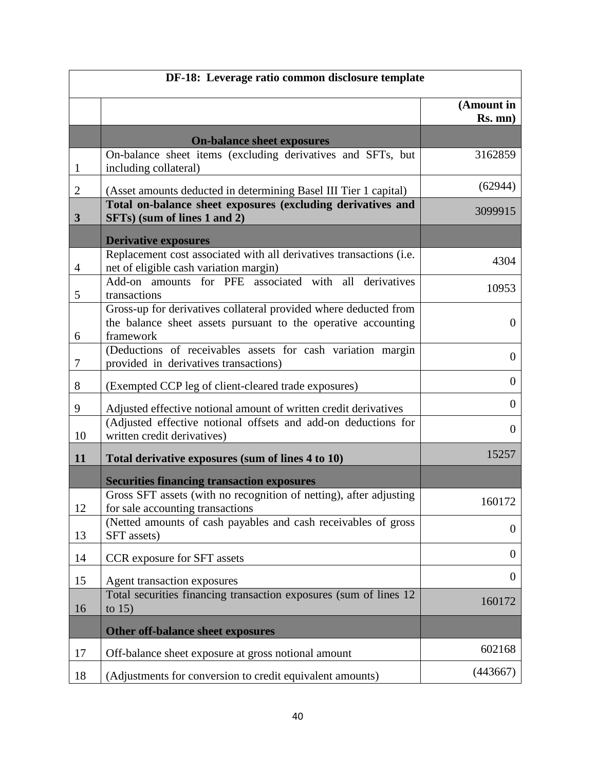|                | DF-18: Leverage ratio common disclosure template                                                                                               |                       |
|----------------|------------------------------------------------------------------------------------------------------------------------------------------------|-----------------------|
|                |                                                                                                                                                | (Amount in<br>Rs. mn) |
|                |                                                                                                                                                |                       |
| $\mathbf{1}$   | <b>On-balance sheet exposures</b><br>On-balance sheet items (excluding derivatives and SFTs, but<br>including collateral)                      | 3162859               |
| $\overline{2}$ | (Asset amounts deducted in determining Basel III Tier 1 capital)                                                                               | (62944)               |
| $\mathbf{3}$   | Total on-balance sheet exposures (excluding derivatives and<br>SFTs) (sum of lines 1 and 2)                                                    | 3099915               |
|                | <b>Derivative exposures</b>                                                                                                                    |                       |
| $\overline{4}$ | Replacement cost associated with all derivatives transactions (i.e.<br>net of eligible cash variation margin)                                  | 4304                  |
| 5              | Add-on amounts for PFE associated with all derivatives<br>transactions                                                                         | 10953                 |
| 6              | Gross-up for derivatives collateral provided where deducted from<br>the balance sheet assets pursuant to the operative accounting<br>framework | $\theta$              |
| $\tau$         | (Deductions of receivables assets for cash variation margin<br>provided in derivatives transactions)                                           | $\overline{0}$        |
| 8              | (Exempted CCP leg of client-cleared trade exposures)                                                                                           | $\theta$              |
| 9              | Adjusted effective notional amount of written credit derivatives                                                                               | $\boldsymbol{0}$      |
| 10             | (Adjusted effective notional offsets and add-on deductions for<br>written credit derivatives)                                                  | $\overline{0}$        |
| 11             | Total derivative exposures (sum of lines 4 to 10)                                                                                              | 15257                 |
|                | <b>Securities financing transaction exposures</b>                                                                                              |                       |
| 12             | Gross SFT assets (with no recognition of netting), after adjusting<br>for sale accounting transactions                                         | 160172                |
| 13             | (Netted amounts of cash payables and cash receivables of gross<br>SFT assets)                                                                  | $\overline{0}$        |
| 14             | CCR exposure for SFT assets                                                                                                                    | $\theta$              |
| 15             | Agent transaction exposures                                                                                                                    | $\theta$              |
| 16             | Total securities financing transaction exposures (sum of lines 12<br>to $15$                                                                   | 160172                |
|                | <b>Other off-balance sheet exposures</b>                                                                                                       |                       |
| 17             | Off-balance sheet exposure at gross notional amount                                                                                            | 602168                |
| 18             | (Adjustments for conversion to credit equivalent amounts)                                                                                      | (443667)              |